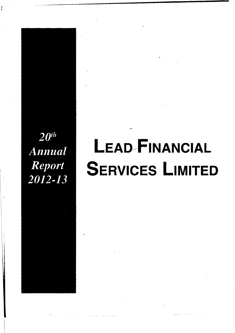# $20<sup>th</sup>$ **Annual Report** 2012-13

# **LEAD FINANCIAL SERVICES LIMITED**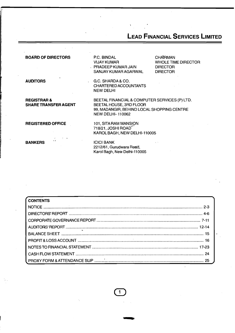$\label{eq:V} \begin{array}{c} V_{\text{max}} = \frac{1}{2} \left( \frac{1}{2} \right)^{\frac{1}{2}} \\ V_{\text{max}} = \frac{1}{2} \left( \frac{1}{2} \right)^{\frac{1}{2}} \end{array}$ 

| <b>BOARD OF DIRECTORS</b>                             | P.C. BINDAL<br><b>VIJAY KUMAR</b><br>. PRADEEP KUMAR JAIN<br>SANJAY KUMAR AGARWAL                                                                 | <b>CHATRMAN</b><br><b>WHOLE TIME DIRECTOR</b><br><b>DIRECTOR</b><br><b>DIRECTOR</b> |
|-------------------------------------------------------|---------------------------------------------------------------------------------------------------------------------------------------------------|-------------------------------------------------------------------------------------|
| <b>AUDITORS</b>                                       | G.C. SHARDA & CO.<br>CHARTERED ACCOUNTANTS<br><b>NEW DELHI</b>                                                                                    |                                                                                     |
| <b>REGISTRAR &amp;</b><br><b>SHARE TRANSFER AGENT</b> | BEETAL FINANCIAL & COMPUTER SERVICES (P) LTD.<br>BEETAL HOUSE, 3RD FLOOR<br>99, MADANGIR, BEHIND LOCAL SHOPPING CENTRE<br><b>NEW DELHI-110062</b> |                                                                                     |
| <b>REGISTERED OFFICE</b>                              | 101, SITA RAM MANSION<br>718/21, JOSHI ROAD<br>KAROL BAGH, NEW DELHI-110005                                                                       |                                                                                     |
| <b>BANKERS</b>                                        | <b>ICICI BANK</b><br>2212/61, Gurudwara Road,<br>Karol Bagh, New Delhi-110005                                                                     |                                                                                     |

| <b>CONTENTS</b> |  |
|-----------------|--|
|                 |  |
|                 |  |
|                 |  |
|                 |  |
|                 |  |
|                 |  |
|                 |  |
|                 |  |
|                 |  |

 $\overline{1}$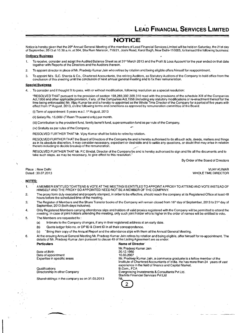## **NOTICE**

Notice is hereby given that the 20<sup>th</sup> Annual General Meeting of the members of Lead Financial Services Limited will be held on Saturday, the 21st day of September, 201 3 at 10.30 a.m. at 304, Sta Ram Mansion, 71 8121, Joshi Road, Karol Bagh, New Delhi-110005, to transact the following business:

### **Ordinary Business**

- 1. To receive, consider and adopt the Audited Balance Sheet as at 31<sup>st</sup> March 2013 and the Profit & Loss Account for the year ended on that date together with Reports of the Directors and the Auditors thereon.
- 2. To appoint director in place of Mr. Pradeep Kumar Jain who retires by rotation and being eligible offers himself for reappointment.
- 3. To appoint MIS. G.C. Sharda & Co., Chartered Accountants, the retiring Auditors, as Statutory Auditors of the Company to hold office from the conclusion of this meeting until the conclusion of next annual general meeting and to fix their remuneration.

#### Special Business

**4.** . To consider and if thought fit to pass, with or without modification, following resolution as aspecial resolution:

"RESOLVEDTHAT pursuant to the provision of section 198,269,302,309,310 read with the provisions of the schedule Xlll of the Companies Act,I 956 and other applicable provision, if any ,of the Companies Act, 1956 (including any statutory modifications or re-enactment thereof for the time being enforceable) Mr. Vijay Kumar be and is hereby re-appointed as the Whole Time Director of the Company for a period of five years with effect from 1sl August, 2013, on the following terms and conditions as approved by remuneration committee of the Board:

(i) Term of appointment: 5 years w.e.f. 1<sup>st</sup> August, 2013

.(ii) Salary Rs. 15,0001-(Fifleen ~housand only) per month.

(iii) Contribution to the provident fund, family benefit fund, superannuation fund as per rule of the Company.

(iv) Gratuity as per rules of the Company.

RESOLVED FURTHER THAT Mr. Vijay Kumar shall be liable to retire by rotation.

RESOLVED FURTHER THAT the Board of Directors of the Company be and is hereby authorised to do all such acts, deeds, matters and things as in its absolute discretion, it may consider necessary, expedient or desirable and to settle any questions, or doubt that may arise in relation thereto including to decide breakup of the remuneration. **-6** 

RESOLVED FURTHER THAT Mr. P.C Bindal, Director of the Company be and is hereby authorised to sign and file all the documents and to take such steps, as may be necessary, to give effect to this resolution.

By Order of the Board of Directors

Place : New Delhi Dated: 30.07.2013

VlJAY KUMAR WHOLE TIME DIRECTOR

#### NOTES:

- 1. A MEMBER ENTITLEDTO ATTEND &VOTE ATTHE MEETING IS ENTITLEDTO APPOINTA PROXY TO ATTEND AND VOTE INSTEAD OF HIMSELF AND THE PROXY SO APPOINTED NEED NOT BE A MEMBER OFTHE COMPANY.
- 2. The proxy form duly executed and properly stamped, in order to be effective, should reach the company at its Registered Office at least 48 hours before the scheduled time of the meeting.
- 3. The Register of Members and the Share Transfer books of the Company will remain closed from 16<sup>th</sup> day of September, 2013 to 21<sup>st</sup> day of September, 2013 (both days inclusive).
- 4. Only Registered Members carrying attendance slips and holders of valid proxies registered with the Company will be permitted to attend the meeting. In case of joint holders attending the meeting, only such joint holder who is higher in the order of names will be entitled to vote.
- **5.** The Members are requested to :
	- (a) Intimate to the Company changes, if any in their registered address at an early date.
	- (b) Quote ledger folio no. or DP ID & Client ID in all their correspondence.
	- (c) "Bring ttieir copy of the Annual Report and the attendance slips with them at the Annual General Meeting.
- 6. At the ensuing Annual General Meeting Mr. Pradeep Kumar Jain retires by rotation and being eligible, offer himself for re-appointment. The details of Mr. Pradeep Kumar Jain pursuant to clause 49 of the Listing Agreement are as under:

Particulars **Name of Director' Name of Director** Mr. Pradeep Kumar Jain

Date of Birth Date of appointment Expertise in specific areas

Qualifications Directorship in other Company

Shareholdings in the company as on 31.03.2013 NIL

B.Com., FCA Evergrowing Investments & Consultants Pvt Ltd. Startrite Financial Services Pvt Ltd

experience in the field of finance and Capital Market.

Mr. Pradeep Kumar Jain, a commerce graduate is a fellow member of the Institute of Chartered Accountants of India. He has more than 24 years of vast



20.12.1960 10.03.2007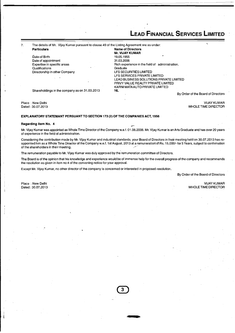**7.** The details of Mr. Vijay Kumar pursuant to clause **49** of the Listing Agreement are as under: ", Particulars

Date of Birth Date of appointment Expertise in specific areas Qualifications Directorship in other Company Name of Directors Mr. VlJAY KUMAR **19.05.1 955 31.03.2006**  Rich experience in the field of administration. **Graduate** LFS SECURITIES LIMITED LFS SERVICES PRIVATE LIMITED LEAD BUSINESS SOLUTIONS PRIVATE LIMITED PRIVY VALUE REALTY PRIVATE LIMITED KARNl MATAAUTO PRIVATE LIMITED NIL

Shareholdings in the company as on 31.03.2013

Place : New Delhi Dated : **30.07.2013**  By Order of the Board of Directors

VlJAY KUMAR WHOLETIME DIRECTOR

# EXPLANATORY STATEMANT PERSUANTTO SECTION **173** (2) OFTHE COMPANIES ACT, 1956 Regarding Item No. 4 -

Mr. Vijay Kumar was appointed as Whole Time Director of the Company w.e.f. **01.08.2008.** Mr. Vijay Kumar is an Arts Graduate and has over **20** years of experience in the field of administration.

Considering the contribution made by Mr. Vijay Kumar and industrial standards, your Board of Directors in their meeting held on 30.07.2013 has reappointed him as a Whole Time Director of the Company w.e.f. 1st August, 2013 at a remuneration of Rs. 15,000/- for 5 Years, subject to confirmation of the shareholders in their meeting.

The remuneration payable to Mr. Vijay Kumar was duly approved by the remuneration committee of Directors.

The Board is of the opinion that his knowledge and experience would be of immense help for the overall progress of the company and recommends the resolution as given in item no **4** of the convening notice for your approval.

Except Mr. Vijay Kumar, no other director of the company is concerned or interested in proposed resolution.

By Order of the Board of Directors

Place : New Delhi YlJAY KUMAR Dated : **30.07.201 3** WHOLE TIME DIRECTOR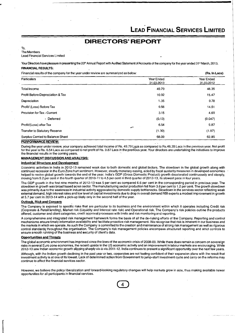## **DIRECTORS' REPORT**

To,

The Members Lead Financial Services Limited

Your Directors have pleasure in presenting the 20<sup>th</sup> Annual Report with Audited Statement of Accounts of the company for the year ended 31<sup>st</sup> March, 2013. FINANCIAL RESULTS:

Financial results of the company for the year under review are summarized as below: (Rs. In Lacs) (Rs. In Lacs)

|                                  |                          | , , , , , , , , , , , , , |  |
|----------------------------------|--------------------------|---------------------------|--|
| <b>Particulars</b>               | Year Ended<br>31.03.2013 | Year Ended<br>31.03.2012  |  |
| Total Income                     | 49.79                    | 46.35                     |  |
| Profit Before Depreciation & Tax | 10.92                    | 15.47                     |  |
| Depreciation                     | 1.35                     | 0.78                      |  |
| Profit/ (Loss) Before Tax        | 9.56                     | 14.51                     |  |
| Provision for Tax - Current      | 3.15                     | 4.69                      |  |
| - Deferred                       | (0.13)                   | (0.047)                   |  |
| Profit/(Loss) after Tax          | 6.54<br>~                | 9.87                      |  |
| Transfer to Statutory Reserve    | (1.30)                   | (1.97)                    |  |
| Surplus Carried to Balance Sheet | 68.09                    | 62.85                     |  |

#### PERFORMANCE REVIEW:

During the year under review, your company achieved total income of Rs. 49.79 Lacs as compared to Rs.46.35 Lacs in the previous year. Net profit for the year is Rs. 6.54 Lacs as compared to net profit of Rs. 9.87 Lacs in the previous year. Your directors are undertaking the initiatives to improve the financial results in the coming years.

#### MANAGEMENT DISCUSSION AND ANALYSIS:

#### Industrial Structure and Development

Economic activities in lndia in 2012-13 remained weak due to both domestic and global factors. The slowdown in the global growth along with continued recession in the Euro Zone hurt sentiment. However, steady monetary easing, aided by fiscal austerity measures in developed economies helped to revive global growth towards the end of the year. India's GDP (Gross Domestic Product) growth decelerated continuously and steeply, moving from 9.2 per cent in the fourth quarter of 2010-11 to 4.5 per cent in third quarter of 2012-13, its slowest pace in four years.

The GDP growth in the first nine months of 2012-13 was 5 per cent as compared 6.6 per cent in the corresponding period in previous year. The slowdown in growth was broad based acres sector. The manufacturing sector production fell from 3.6 per cent to 1.2 per cent. The growth slowdown was primarily due to the weakness in industrial activity aggravated by domestic supply bottlenecks. Slowdown in the services sector reflecting weak external demand, high interest rates and low level of capital investments due to drop in overall demand RBI experts a modest improvement in growth at 5.7 per cent in 2013-14 with a pick-up likely only in the second half of the year.

#### Outlook, Risk and Concern

The Company is exposed to specific risks that are particular to its business and the environment within which it operates including Credit risk (Corporate & Retail lending), Market risk (Liquidity and Interest rate risk) and Operational risk. The Company's risk policies outline the products offered, customer and client categories, credit approval processes with limits and risk monitoring and reporting.

A comprehensive and integrated risk management framework forms the basis of all the de-risking efforts of the Company. Reporting and control mechanisms ensure timely information availability and facilitate proactive risk management. We recognise that risk is inherent in our business and the markets in which we operate. As such the Company is committed to the creation and maintenance of strong risk management as well as rigorous control standards throughout the organisation. The Company's risk management policies encompass structured reporting and strict controls to ensure smooth running of the business and security of client's data.

#### **Opportunities and Threats**

The global economic environment has improved since the lows of the economic crisis of 2008-09. While there does remain a concern on sovereign risks in several Euro zone economies, the recent upside in the US economic activity and an improvement in labour markets are encouraging. While 2012-13 saw Indian economic growth slipping sharply vis-à-vis 2011-12. India continues to present a significant opportunity over the next few years.

Although, with the Indian growth declining in the past year or two, corporates are not feeling confident of their expansion plans with the result that investment activity is at one of its lowest. Lack of determined action from Government to jump-start investment cycle and carry on the reforms may continue to affect the financial services sector.

However, we believe the policy liberalization and forward-looking regulatory changes will help markets grow in size, thus making available newer opportunities for all participants in financial services.

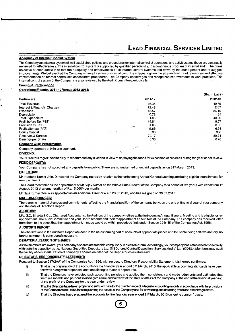#### Adequacv of Internal Control Svstem

The Company maintains a system of well established policies and procedures for internal control of operations and activities, and these are continually reviewed for effectiveness. The internal control system is supported by qualified personnel and a continuous program of internal audit. The prime objective of such audits is to test the adequacy and effectiveness of all internal control systems laid down by the management and to suggest improvements. We believe that the Company's overall system of internal control is adequate given the size and nature of operations and effective implementation of internal control self assessment procedures. The Company encourages and recognizes improvements in work practices. The internal control system of the Company is also reviewed by the Audit Committee periodically.

#### Financial Performance

#### **<sup>I</sup>**' Ooerational Results. **201 1-1 2** Versus **201 2-201** 3:

|         | (Rs. in Lacs) |
|---------|---------------|
| 2011-12 | 2012-13       |
| 46.35   | 49.79         |
| 12.48   | 12.67         |
| 18.57   | 26.19         |
| 0.78    | 1.35          |
| 31.83   | 40.22         |
| 14.51   | 9.57          |
| 4.65    | 3.02          |
| 9.86    | 6.54          |
| 330     | 330           |
| 74.17   | 80.71         |
| 0.30    | 0.20          |
| $\sim$  |               |
|         | ~             |

Company operates only in one segment.

#### DIVIDEND:

Your Directors regret their inability to recommend any dividend in view of deploying the funds for expansion of business during the year under review. FIXED DEPOSITS:

Your Company has not accepted any deposits from public. There are no unclaimed or unpaid deposits as on 31<sup>st</sup> March, 2013.

#### DIRECTORS:

Mr. Pradeep Kumar Jain, Director of the Company retires by rotation at the forthcoming Annual General Meeting and being eligible offers himself for re-appointment.

The Board recommends the appointment of Mr. Vijay Kumar as the Whole Time Director of the Company for a period of five years with effect from 1<sup>st</sup> August, **201 3** at a remuneration of **Rs.15,000/-** per month.

Mr Ravi Kumar Goel was appointed as an Additional Director w.e.f; **29.05.201 3,** who has resigned on **30.07.2013.** 

#### MATERIAL CHANGES:

There are no material changes and commitments, affecting the financial position of the company between the end of financial year of your company and the date of Director's Report.

## **AUDITORS:**

M/s. G.C. Sharda & Co., Chartered Accountants, the Auditors of the company retires at the forthcoming Annual General Meeting and is eligible for reappointment. The Audit Committee and your Board recommend their reappointment as Auditors of the Company. The company has received letter from them to the effect that their appointment, if made would be within prescribed limit under Section **224(1** B) of the Companies Act, **1956.** 

#### AUDITOR'S REPORT:

The observations in the Auditor's Report are dealt in the notes forming part of accounts at appropriate places and the same being self explanatory, no further comment is considered necessary.

#### DEMATERlALlSATlON OF SHARES:

As the members are aware, your company's shares are tradable compulsory in electronic form. Accordingly, your company has established connectivity with both the depositories i.e. National Securities Depository Ltd. (NSDL) and Central Depository Services (India) Ltd. (CDSL). Members may avail the facility of dematerialization of company's shares on either of the Depositories as aforesaid.

#### DIRECTORS' RESPONSIBILITY STATEMENT:

Pursuant to Section 21 7(2AA) of the Companies Act, **1956,** with respect to Directors' Responsibility Statement, it is hereby confirmed:

- i) That in the preparation of the accounts for the financial year ended **31"** March, **201 3;** the applicable accounting standards have been followed along with proper explanation relating to material departures.
- ii) That the Directors have selected such accounting policies and applied them consistently and made judgments and estimates that were reasonable and prudent so as to give a true and fair view of the state of affairs of the Company at the end of the financial year and of the proffi of the Company for the year under review.
- iii) That the Directors have taken proper and sufficient care for the maintenance of adequate accounting records in accordance with the provisions of the Companies Ad, **1s for safeguarding the** assets of the Company and for prevenbng and detecting fraud and other imegularities.
- N) That the Directors have prepared **the** accounts forthe financial year **ended 31** \* **March, 201 3** on 'going concern' basis.

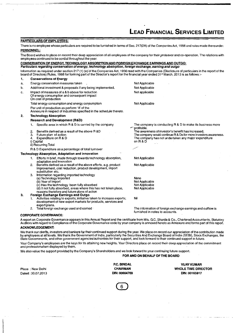#### PARTICULARS OF EMPLOYEES:

There is no employee whose particulars are required to be furnished in terms of Sec. 21 7(2A) of the Companies Act, 1956 and rules made thereunder. PERSONNEL: The Board wishes to place on record their deep appreciation of all employees of the company for their endeavor and co-operation. The relations with employees continued to be cordial throughout the year. CONSERVATION OF ENERGY. TECHNOLOGY ABSORPTlON AND FOREIGN EXCHANGE EARNINGS AND OUTGO: Particulars regarding conservation of energy, technology absorption, foreign exchange, earning and outgo Information as required under section 217 (1) (e) of the Companies Act, 1956 read with the Companies (Disclosure of particulars in the report of the board of Directors) Rules, 1988 for forming part of the Director's report for the financial year ended 31<sup>st</sup> March, 2013 is as follows :-1. Conservations of Energy a. Energy conservation measures taken , Not Applicable and Not Applicable b. Additional investment & proposals if any being implemented. Not Applicable c. Impact of measures of a & b above for reduction Not applicable Of energy consumption and consequent impact On cost of production Total energy consumption and energy consumption Not Applicable Per unit of production as perform 'A' of the Annexure in respect of industries specified in the schedule thereto. 2. Technology Absorption

- Research and Development (R&b)
- 1. Specific area in which R & D is carried by the company The company is conducting R & D to make its business more
- 
- 2. Benefits derived as a result of the above **R &D**<br>3. Future plan of action
- 
- 
- 
- ii) Recurring Total .<br>R & D Expenditure as a percentage of total turnover

#### Technology Absorption, Adaptation and innovation

- 1. Efforts in brief, made through towards technology absorption, Not Applicable adaptation and innovation 2. Benefits derived as a result of the above efforts, e.g. product Not Applicable
- improvement, cost reduction, product development, import substitution etc.
- 3. Information regarding imported technology
	- (a) Technology Imported None None None
	- (b) Year of Import Not Applicable Not Applicable
	- (c) Has the technology been fully absorbed Not Applicable<br>(d) It not fully absorbed, areas where this has not taken place, Not Applicable (d) It not fully absorbed, areas where this has not taken place, Not Applicable
- reasons therefore and future plans of action
- **3.** Foreign Exchange Earnings and Outgo Activities relating to exports; initiative taken to increase exports; Nil development of new export markets for products, services and
	- export plans.<br>Total foreign exchange used and earned

profitable.<br>The awareness of investor's benefit has increased.

3. Future plan of action The company would continue R & Ds for more investors awareness.<br>4. Expenditure on R & D The company has not undertaken any major expenditure **4. Expenditure on R & D** The company has not undertaken any major expenditure<br>i) Capital on R & D The company has not undertaken any major expenditure 4. Experiment of Final on Reference of the company rise of the company rise of the company rise of the company rise of the company rise of the company rise of the company rise of the company rise of the company rise of the

2. Total foreign exchange used and earned The information of foreign exchange earnings and outflow is furnished in notes to accounts.

### CORPORATE GOVERNANCE:

A report on Corporate Governance appears in this Annual Report and the certificate from M/s. G.C. Sharda & Co., Chartered Accountants, Statutory Auditors with regard to Compliance of the Corporate Governance code by your company is annexed hereto as Annexure and forms part of this report. ACKNOWLEDGEMENT

We thank our clienfs, investors and bankers for their continued support during the year. We place on record our appreciation of the contribution made by employees at all levels. We thank the Government of India, particularly the Securities And Exchange Board of India (SEBI), Stock Exchanges, the State Governments, and other government agencies/authorities for their support, and look forward to their continued support in future. Your Company's employees are the keys for its attaining new heights. Your Directors place on record their deep appreciation of the commitment and professionalism displayed by them.

We also value the support provided by the Company's Shareholders and we look forward to your continuing future support.

#### FOR AND ON BEHALF OF THE BOARD

Place : New Delhi Dated: 30.07.2013



VIJAY KUMAR WHOLE TIME DIRECTOR DIN: 001 **6591 7** 

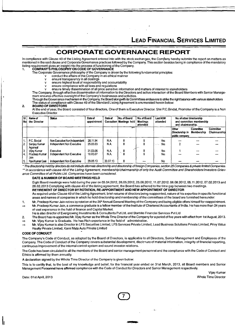## **CORPORATE GOVERNANCE REPORT**

In compliance with Clause 49 of the Listing Agreement entered into with the stock exchanges, the Combany hereby submits the report on matters as mentioned in the said clause and Corporate Governance practices followed by the Company. This section besides being in compliance of the mandatory listing requirement gives an insight into the process of functioning of the Company.<br>1. COMPANY'S PHILOSOPHY ON CODE OF GOVERNANCE

#### 1. **COMPANY'S PHILOSOPHY ON CODE OF GOVERNANCE**

The Corporate Governance philosophy of the Company is driven'by the following fundamental principles:

- v conduct the affairs of the Company in an ethical manner<br>v ensure transparency in all dealings
- v ensure transparency in all dealings<br>v ensure highest level of responsibility
- v ensure highest level of responsibility and accountability<br>v ensure compliance with all laws and requisitions v ensure compiiance with all laws and regulations
- 
- v ensure timely dissemination of all price sensitive information and matters of interest to stakeholders

The Company, through effective dissemination of information to the Directors and active interaction of the Board Members with Senior Management ensures effective oversight of the Company's businesses and activities.

Through the Govemance mechanism in the Company, the Board alongwith its Committees endeavors to strike the right balance with various stakeholders The status of compliance with Clause 49 of the Standard Listing Agreement is enumerated herein below:

#### **2. BOARD OF DIRECTORS**

At the end of year, the Board consisted of four directors, One of them is Executive Director. Shri P.C.Bindal, Promoter of the Company is a Non Executive Director.

| l SI l<br>i Noi           | Name of<br>the Director | <b>Status</b>                 | Date of<br>appointment | Date of  | No. of Board<br><b>Cessation Meetings held</b> | No. of Board<br><b>Meetings</b><br>attended | <b>Last AGM</b><br>attended | No. of other directorship<br>and chairmanship. | and committee membership |                           |
|---------------------------|-------------------------|-------------------------------|------------------------|----------|------------------------------------------------|---------------------------------------------|-----------------------------|------------------------------------------------|--------------------------|---------------------------|
|                           |                         |                               |                        |          |                                                |                                             |                             | Other<br>Directorship in<br>public company     | Committee<br>Membership  | Committee<br>Chairmanship |
|                           | P.C. Bindal             | Non Executive Non Independent | 28.11.94               | N.A.     |                                                |                                             | Yes                         | ---                                            | ---                      | ---                       |
| 2                         | Sanjay Kumar<br>Agarwal | Independent Non Executive     | 25.03.03               | N.A.     | R                                              |                                             | Yes<br>$\mathbf{r}$         |                                                | ---                      | ---                       |
| IЗ                        | Vijay Kumar             | Executive                     | 31.03.06               | N.A.     | 8                                              |                                             | Yes                         |                                                | ---                      | ---                       |
| $\mathbf{A}_{\mathbf{a}}$ | Pradeep Kumar<br>Jain   | Independent Non Executive     | 10.03.07               | N.A.     | 18                                             |                                             | Yes                         | ---                                            | ---                      | ---                       |
| 15.                       | Ravi Kumar Goel         | Independent Non Executive     | 29.05.13               | 30.07.13 | 8                                              | ---                                         | No                          | $- - -$                                        | ---                      |                           |

\* The directorship held by directors do not include alternate directorship and directorship of foreign Companies, section 25 Companies & private limited Companies. \*\* In accordance with clause 49 of the Listing Agreement, membership/chairmanship of only the Audit Committee and Shareholders/Investors Grievance Committee of all Public Ltd. Companies have been considered.

#### **DATE** & **NUMBER OF BOARD MEETINGS HELD**

28.02.2013 Complying with clause 49 of the listing agreement, the Board has adhered to the time gap between two meetings. **RETIREMENT OF DIRECTOR BY ROTATION. RE-APPOINTMENT AND NEW APPOINTMENT OF DIRECTOR**  Eight Board meetings were held during the year on 03.04.2012, 26.05.2012, 25.06.2012, 11.07.2012, 06.08.2012, 05.11.2012, 07.02.2013 and

As required under Clause 49 of the Listing Agreement, brief resume of directors being reappointed, nature of his expertise in specific functional areas and names of companies in which he hold directorship and membership of the committees of the board are furnished hereunder:

- 1. Mr. Pradeep Kumar Jain retires by rotation at the 20<sup>th</sup> Annual General Meeting of the Company and being eligible offers himself for reappointment.
- Mr. Pradeep Kumar Jain, a commerce graduate is a fellow member of the Institute of Chartered Accountants of India. He has more than 24 years of vast experience in the field of finance and Capital Market.
	- He is also director of Evergrowing Investments *81* Consultants Pvl Ltd. and Startrite Financial Sewices Pvl Ltd
- 2. The Board has re-appointed Mr. Vijay Kumar as the Whole Time Director of the Company for a period of five years with effect from 1st August, 2013. Mr. Vijay Kumar is Graduate. He has Rich experience in the field of administration.
- ⇒ Mr. Vijay Kumar is also Director in LFS Securities Limited, LFS Services Private Limited, Lead Business Solutions Private Limited, Privy Value Realty Private Limited, Karni Mata Auto Private Limited

#### **CODE OF CONDUCT**

The Company's Code of Conduct, as adopted by the Board of Directors, is applicable to all Directors, Senior Management and Employees of the Company. The Code of Conduct of the Company covers substantial development, disclosure of material information, integrity of financial reporting, continuous improvement of the internal control system and sound investor relations.

The Code has been circulated to all the members of the Board and senior management personnel and the compliance with the Code of Conduct and Ethics is affirmed by them annually.

A declaration signed by the Whole Time Director of the Company is given below:

This is to certify that, to the best of my knowledge and belief, for the financial year ended on 31st March, 2013, all Board members and Senior Management Personnel have **affirmed** compliance with the Code of Conduct for Directors and Senior Management respectively.

Vijay Kumar Date: 01 st April, 201 3 Whole Time Director

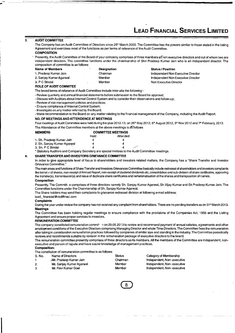## 3. AUDIT COMMITTEE

The Company has an Audit Committee of Directors since 25<sup>th</sup> March 2003. The Committee has the powers similar to those stated in the listing Agreement and exercises most of the functions as per terms of reference of the Audit Committee.

## **COMPOSITION**

Presently, the Audit Committee of the Board of your company comprises of three members alf non executive directors and out of whom two are independent directors. The committee functions under the chairmanship of Shri Pradeep Kumar Jain who is an independent director. The External composition of committee is as follows:<br>
Name of Members Designation Status / Position

3. P C Bindal

2. Sanjay Kumar Agarwal

Member Member

1. Pradeep Kumar Jain Chairman Independent Non Executive Director lndependent Non Executive Director Non Executive Director

#### ROLE OF AUDIT COMMITEE

The broad terms of reference of Audit Committee include inter-alia the following:-

- Review quarterly and annual financial statements before submission to the Board for approval;

- Discuss with Auditors about lnternal Control System and to consider their observations and follow-up;

- Review of risk management policies and practices;

- Ensure compliance of Internal Control System;

- Investigate on any matter referred by the Board;

-Make recommendation to the Board on any matter relating to the financial management of the Company, including the Audit Report.

#### NO. OF MEETINGS AND ATTENDENCE AT MEETINGS

Four meetings of Audit Committee were held during the year 2012-13, on 26<sup>th</sup> May 2012, 6<sup>th</sup> August 2012, 5<sup>th</sup> Nov 2012 and 7<sup>th</sup> February, 2013. The Attendance of the Committee members at the above meetings is as follows

| MEMBERS                     | <b>COMMITTEE MEETINGS</b> |          |  |  |
|-----------------------------|---------------------------|----------|--|--|
|                             | Held                      | Attended |  |  |
| 1. Sh. Pradeep Kumar Jain   |                           | 4        |  |  |
| 2. Sh. Sanjay Kumar Agarwal |                           | 4        |  |  |
| 3. Sh. P C Bindal           |                           | 4        |  |  |

Statutory Auditors and Company Secretary are special imritees to the Audit Committee meetings.

#### **4.** SHARE TRANSFER AND INVESTORS GRIEVANCE COMMITTEE

In order to give appropriate level of focus to shareholders and investors related matters, the Company has a "Share Transfer and Investor Grievance Committee."

../.

The main areas and functions of Share Transfer and Investors Grievances Committee basically include redressal of shareholders and investors complaints like transfur of shares, non-receipt of Annual Report, non-receipt of declared dividends etc, consolidation and sub-division of share certificates, approving the transfer(s), transmission(s) and issue of duplicate share certificates and rematerialisation of the shares and transposition of names. Composition

Presently; The Committ. e comprises of three directors namely Sh. Sanjay Kumar Agarwal, Sh.Vijay Kumar and Sh Pradeep Kumar Jain. The Committee functions under the Chairmanship of Sh. Sanjay Kumar Agarwal.

The Share holders may send their complaints to grievance redressel division at following e-mail address:

lead financial@rediffmail.com

#### Complaints

During the year under review the company has not received any complaint from shareholders. There are no pending transfers as on 31<sup>st</sup> March 2013. Meetings

The Committee has been holding regular meetings to ensure compliance with the provisions of the Companies Act, 1956 and the Listing Agreement and ensure proper services to investors.

#### REMUNERATION COMMITTEE

The company constituted remuneration commit<sup>+</sup> <sup>9</sup> on 29.05.2013 to review and recommend payment of annual salaries, agreements and other employment conditions of the Executive Directors comprising Managing Director and whole Time Directors, The Committee fixes the remuneration after taking in consideration remuneration practices followed by companies of similar size and standing in the industry. The Committee periodically reviews and recommends suitable by revision in the remuneration package of executive directors to the board.

The remuneration committee presently comprises of three directors as its members. All the members of the Committee are independent, nonexecutive and person of repute and have sound knowledge of management practices.

#### Composition:

The constitution of remuneration committee is as follows:

| S. No. | Name of Directors        | <b>Status</b> | Category of Membership     |
|--------|--------------------------|---------------|----------------------------|
|        | "Mr. Pradeep Kumar Jain  | Chairman      | Independent, Non-executive |
| 2      | Mr. Sanjay Kumar Agarwal | Member        | Independent, Non-executive |
| З.     | Mr. Ravi Kumar Goel      | Member        | Independent, Non-executive |

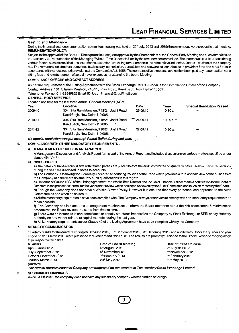#### **Meeting and Attendance:**

During the financial year one remuneration committee meeting was held on 29<sup>th</sup> July, 2013 and all the three members were present in that meeting. **REMUNERATION POLICY:** 

Subject to the approval of the Board of Directors and subsequent approval by the Shareholders at the General Body Meeting and such authorities as the case may be, remuneration of the Managing / Whole- Time Director is fixed by the remuneration committee. The remuneration is fixed considering various factors such as qualifications, experience, expertise, prevailing remuneration in the competitive industries, financial position of the company etc. The remuneration structure comprises basic salary, commission, perquisites and allowances, contribution to provident fund and other funds in accordance with various related provisions of the Companies Act, 1956. The non-executive directors have neither been paid any remuneration nor a sitting fees and reimbursement of actual travel expenses for attending the board Meeting.

#### **COMPLIANCE OFFlCER AND CONTACT ADDRESS**

As per the requirement of the Listing Agreement with the Stock Exchange, Mr P C Bindal is the Compliance Officer of the Company. Contact Address: 101, Sitaram Mansion, 71 8/21, Joshi Road, Karol Bagh, New Delhi-110005

Telephone/Fax no: 011-23549822 Email ID: lead financial@rediffmail.com

#### **5. GENERAL BODY MEETINGS:**

Location and time for the last three Annual General Meetings (AGM).

| Year    | Location                                                                    | Date        | Time      | <b>Special Resolution Passed</b> |
|---------|-----------------------------------------------------------------------------|-------------|-----------|----------------------------------|
| 2009-10 | 304 Sita Ram Mansion, 718/21, Joshi Road.<br>Karol Bagh, New Delhi-110005.  | 25.09.10    | 10.30 a.m |                                  |
| 2010-11 | 304, Sita Ram Mansion, 718/21, Joshi Road,<br>Karol Bagh, New Delhi-110005. | $-24.09.11$ | 10.30 a.m |                                  |
| 2011-12 | 304, Sita Ram Mansion, 718/21, Joshi Road,<br>Karol Bagh, New Delhi-110005. | 22.09.12    | 10.30 a.m | -                                |
|         | No special resolution was put through Postal Ballot during last year.       |             |           |                                  |

#### **6. COMPLIANCE WITH OTHER MANDATORY REQUIREMENTS.**

#### i) **MANAGEMENT DISCUSSION AND ANALYSIS**

A Management Discussion and Analysis Report forms part of the Annual Report and includes discussions on various matters specified under clause 49 (IV) (F)

#### **ii) DISCLOSURES**

a) The details of transactions, if any, with related parties are placed before the audit committee on quarterly basis. Related party transactions during the year are disclosed in notes to accounts.

**b)** The Company is following the Generally Accepted Accounting Policies of the trade which provides a true and fair view of the business of the Company and there are no statutory audit qualifications in this regard.

c) In terms of Clause 49(V) of the Listing Agreement, the Whole Time Director and the Chief Financial Officer made a certification to the Board of Directors in the prescribed format for the year under review which has been reviewed by the Audit Committee and taken on record by the Board. **d)** Though the Company does not have a Whistle Blower Policy. However it is ensured that every personnel can approach to the Audit

Committee as and when he so desire. **e)** All the mandatory requirements have been complied with. The Company always endeavors to comply with non-mandatory requirements as far as possible.

**f)** The Company has in place a risk management mechanism to inform the Board members about the risk assessment & minimization procedures, the Board reviews the same from time to time.

**g)** There were no instancesof non-compliance or penalty structures imposed on the Company by Stock Exchange or SEBI or any statutory authority on any matter related to capital markets, during the last year.

**h)** All Mandatory requirements as per Clause 49 of the Listing Agreement have been complied with by the Company.

#### **7. MEANS OF COMMUNICATION** -

Quarterly results for the quarters ending on 30<sup>th</sup> June 2012, 30<sup>th</sup> September 2012, 31<sup>st</sup> December 2012 and audited results for the quarter and year ended on 31st March 2013 were published in "Pioneer" and "Vir Arjun". The results are promptly furnished to the Stock Exchange for display on their respective websites.

July-September 201 2 5" November 201 2 6" November 201 2 October-December 2012 January-March 2013 2013 29th May 2013 20th May 2013 20th May 2013 (Audited)

**Quarters Contract Contract Contract Contract Date of Board Meeting Contract Contract Press Release April 2012**<br>  $\theta^{\text{th}}$  August, 2012 **Contract Contract Contract Contract Press Release** Quarters **Date of Board Meeting Date of Press H**<br>April – June 2012 **6th** August, 2012 **6th August, 2012** 7<sup>th</sup> August, 2012

The official press releases of Company are displayed on the website of The Bombay Stock Exchange Limited

#### **8. SUBSIMARY COMPANIES**

As on 31.03.2013, **thecompany** does not have any subsidiary company whether Indian or foreign.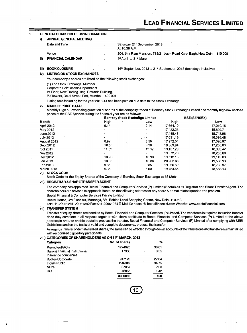| <b>GENERAL SHAREHOLDERS' INFORMATION</b>                            |                                                                                                   |                                                                                                                         |                            |                                                                                                                                      |  |  |  |  |
|---------------------------------------------------------------------|---------------------------------------------------------------------------------------------------|-------------------------------------------------------------------------------------------------------------------------|----------------------------|--------------------------------------------------------------------------------------------------------------------------------------|--|--|--|--|
| i)                                                                  | <b>ANNUAL GENERAL MEETING</b>                                                                     |                                                                                                                         |                            |                                                                                                                                      |  |  |  |  |
| Date and Time                                                       |                                                                                                   | Saturday, 21st September, 2013<br>At 10.30 A.M.                                                                         |                            |                                                                                                                                      |  |  |  |  |
| Venue                                                               |                                                                                                   | 304, Sita Ram Mansion, 718/21 Joshi Road Karol Bagh, New Delhi - 110 005                                                |                            |                                                                                                                                      |  |  |  |  |
| <b>FINANCIAL CALENDAR</b><br>ii)                                    |                                                                                                   | 1st April to 31st March                                                                                                 |                            |                                                                                                                                      |  |  |  |  |
| <b>BOOK CLOSURE</b><br>iii)                                         |                                                                                                   | 16 <sup>th</sup> September, 2013 to 21 <sup>st</sup> September, 2013 (both days inclusive)                              |                            |                                                                                                                                      |  |  |  |  |
| <b>LISTING ON STOCK EXCHANGES</b><br>iv)                            |                                                                                                   |                                                                                                                         |                            |                                                                                                                                      |  |  |  |  |
|                                                                     | Your company's shares are listed on the following stock exchanges:                                |                                                                                                                         |                            |                                                                                                                                      |  |  |  |  |
| (1) The Stock Exchange, Mumbai<br>Corporate Relationship Department | Ist Floor, New Trading Ring, Rotunda Building,<br>PJ Towers, Dalal Street, Fort, Mumbai - 400 001 |                                                                                                                         |                            |                                                                                                                                      |  |  |  |  |
|                                                                     |                                                                                                   | Listing fees including for the year 2013-14 has been paid on due date to the Stock Exchange.                            |                            |                                                                                                                                      |  |  |  |  |
| <b>Month</b>                                                        | prices of the BSE Sensex during the financial year are as follows:<br>High                        | <b>Bombay Stock Exchange Limited</b>                                                                                    | <b>BSE (SENSEX)</b><br>Low |                                                                                                                                      |  |  |  |  |
| April 2012                                                          | 9.14                                                                                              | Low<br>9.14                                                                                                             | High<br>17,664.10          | 17,010.16                                                                                                                            |  |  |  |  |
| May 2012                                                            |                                                                                                   |                                                                                                                         | 17,432,33                  | 15,809.71                                                                                                                            |  |  |  |  |
| June 2012                                                           |                                                                                                   |                                                                                                                         | $-17,448.48$               | 15,748.98                                                                                                                            |  |  |  |  |
| <b>July 2012</b>                                                    |                                                                                                   |                                                                                                                         | 17,631.19                  | 16,598.48                                                                                                                            |  |  |  |  |
| August 2012                                                         | 8.92                                                                                              | 8.50                                                                                                                    | 17,972.54                  | 17,026.97                                                                                                                            |  |  |  |  |
| Sept 2012                                                           | 10.50                                                                                             | K.<br>9.36                                                                                                              | 18,869.94                  | 17,250.80                                                                                                                            |  |  |  |  |
| Oct 2012                                                            | 11,02                                                                                             | 11.02                                                                                                                   | 19,137.29                  | 18,393.42                                                                                                                            |  |  |  |  |
| Nov 2012                                                            |                                                                                                   |                                                                                                                         | 19,372,70                  | 18,255.69                                                                                                                            |  |  |  |  |
| Dec 2012                                                            | 10.90                                                                                             | 10.90                                                                                                                   | 19,612.18                  | 19,149.03                                                                                                                            |  |  |  |  |
| Jan 2013                                                            | 10.36                                                                                             | 10.36                                                                                                                   | 20,203.66                  | 19,508.93                                                                                                                            |  |  |  |  |
| Feb 2013                                                            | 9,85                                                                                              | 9,85                                                                                                                    | 19,966.69                  | 18.793.97                                                                                                                            |  |  |  |  |
| March 2013                                                          | 9.36                                                                                              | 8.90                                                                                                                    | 19.754.66                  | 18,568.43                                                                                                                            |  |  |  |  |
| vi) STOCK CODE                                                      | Stock Code for the Equity Shares of the Company at Bombay Stock Exchange is: 531288               |                                                                                                                         |                            |                                                                                                                                      |  |  |  |  |
|                                                                     | vii) REGISTRAR & SHARE TRANSFER AGENT                                                             |                                                                                                                         |                            |                                                                                                                                      |  |  |  |  |
|                                                                     |                                                                                                   |                                                                                                                         |                            |                                                                                                                                      |  |  |  |  |
|                                                                     |                                                                                                   |                                                                                                                         |                            | The company has appointed Beetal Financial and Computer Services (P) Limited (Beetal) as its Registrar and Share Transfer Agent. The |  |  |  |  |
|                                                                     | Beetal Financial & Computer Services Private Limited                                              | shareholders are advised to approach Beetal on the following address for any share & demat related queries and problem. |                            |                                                                                                                                      |  |  |  |  |

Tel: 011-29961 281,29961 282 Fax: 011 -29961284 E-Mail ID: beetal @ beetalfinancial.com Website: www.beetalfinancial.com

#### vii) TRANSFER SYSTEM

Transfer of equity shares are handled by Beetal Financial and Computer Services (P) Limited. The transferee is required to furnish transfer deed duly complete in all respects together with share certificate to Beetal Financial and Computer Services (P) Limited at the above address in order to enable beetal to process the transfer. Beetal Financial and Computer Services (P) Limited after complying with SEBl Guidelines and on the basis of valid and complete documents, process the transfer.

As regards transfer of dematerialized shares, the same can be effected through demat accounts of the transferor/s and transferee/s maintained with recognized depository participants.

#### vili) CATEGORIES OF SHAREHOLDERS AS ON **31"** MARCH, 2013

| Category                      | No. of shares | %          |
|-------------------------------|---------------|------------|
| Promoter/PAC's                | 1274020       | 38.61      |
| Banks/financial institutions/ | 17988         | 0.55       |
| Insurance companies           |               |            |
| <b>Bodies Corporate</b>       | 747120        | 22.64      |
| <b>Indian Public</b>          | 1146949       | ٠<br>34.75 |
| NRI's<br>٠                    | 67057         | 2.03       |
| <b>HUF</b>                    | 46866         | 1.42       |
|                               | 3300000       | 100        |

 $10$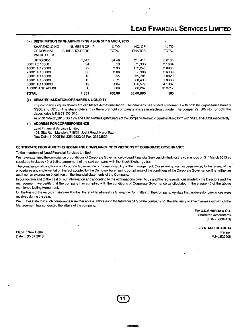|                            |                                                                 |              |               | <b>LEAD FINANCIAL</b> |
|----------------------------|-----------------------------------------------------------------|--------------|---------------|-----------------------|
| (ix)                       | DISTRIBUTION OF SHAREHOLDING AS ON 31 <sup>ST</sup> MARCH, 2013 |              |               |                       |
| <b>SHAREHOLDING</b>        | <b>NUMBER OF</b>                                                | %TO          | NO. OF        | %TO                   |
| OF NOMINAL<br>VALUE OF RS. | <b>SHAREHOLDERS</b>                                             | <b>TOTAL</b> | <b>SHARES</b> | TOTAL                 |
| <b>UPTO 5000</b>           | 1.547                                                           | 84.48        | 218.414       | 6.6186                |
| 5001 TO 10000<br>$\bullet$ | 94                                                              | 5.13         | 71.393        | 2.1634                |
| 10001 TO 20000             | 72                                                              | 3.93         | 102.245       | 3.0983                |
| 20001 TO 30000             | 38                                                              | 2.08         | 88,900        | 2.6939                |
| 30001 TO 40000             | 10                                                              | 0.55         | 35,705        | 1.0820                |
| 40001 TO 50000             | 13                                                              | 0.71         | 60.499        | 1.8333                |
| 50001 TO 100000            | 19                                                              | 1.04         | 136,577       | 4.1387                |
| 100001 AND ABOVE           | 38                                                              | 2.08         | 2,586,267     | 78.3717               |
| <b>TOTAL</b>               | 1.831                                                           | 100.00       | 33,00,000     | 100                   |

#### **(x) DEMATERIALIZATION OF SHARES** & **LIQUIDITY**

The company's equity shares are eligible for dematerialisation. The company has signed agreements with both the depositories namely NSDL and CDSL. The shareholders may therefore hold company's shares in electronic mode. The company's ISIN No. for both the depositories is INE531D01010.

As on 31<sup>\*</sup> March, 2013, 38.12% and 1.92% of the Equity Shares of the Company are held in dematerialized form with NSDL and CDSL respectively.

#### **xi) ADDRESS FOR CORRESPONDENCE**

Lead Financial Services Limited **101,** Sita Ram Mansion, **718121,** Joshi Road, Karol Bagh

New **Delhi-110005** Tel. **23549822-23** Fax. **23623829** +?

#### **CERTIFICATE FROM AUDITORS REGARDING COMPLIANCE OF CONDITIONS OF CORPORATE GOVERNANCE**

#### To the members of Lead Financial Services Limited

We have examined the compliance of conditions of Corporate Governance by Lead Financial Services Limited, for the year ended on **31"** March **201 3** as stipulated in clause **49** of listing agreement of the said company with the Stock Exchange (s).

The compliance of conditions of Corporate Governance is the responsibility of the management. Our examination has been limited to the review of the procedures and implementation thereof adopted by the Company for ensuring compliance of the conditions of the Corporate Governance. It is neitheran audit nor an expression of opinion on the financial statements of the Company.

In our opinion and to the best of our information and according to the explanations given to us and the representations made by the Directors and the management, we certify that the company has complied with the conditions of Corporate Governance as stipulated in the clause **49** of the above mentioned Listing Agreement.

On the basis of the records maintained by the Shareholders/Investors Grievance Committee' of the Company, we state that, no investor grievances were received during the year.

We further state that such compliance is neither an assurance as to the future viability of the company nor the efficiency or effectiveness with which the Management has conducted the affairs of the company,

> **For GC.SHARDA** & **CO.**  Chartered Accountants (FRN - **500041** N)

> > **(C.A. ADlT SHARDA)**  Partner **M.No.526605**

Place : New Delhi Date: 30.07.2013

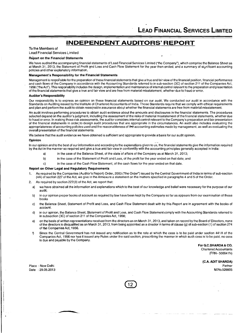## **INDEPENDENT AUDITORS' REPORT**

## To the Members of

Lead Financial Services Limited

#### Report on the Financial Statements

We have audited the accompanying financial statements of Lead Financial Services Limited ("the Company"), which comprise the Balance Sheet as at March 31, 2013, the Statement of Profit and Loss and Cash Flow Statement for the year then ended, and a summary of significant accounting policies and other explanatory information.

#### Management's Responsibility for the Financial Statements

Management is respohsible for the preparation of these financial statements that give a true and fair view of the financial position, financial performance and cash flows of the Company in accordance with the Accounting Standards referred to in sub-section (3C) of section 211 of the Companies Act, 1956 ("the Act"). This responsibility includes the design, implementation and maintenance of internal control relevant to the preparation and presentation of the financial statements that give a true and fair view and are free from material misstatement, whether due to fraud or error.

#### Auditor's Responsibility

Our responsibility is to express an opinion on these financial statements based on our audit. We conducted our audit in accordance with the Standards on Auditing issued by the Institute of Chartered Accountants of India. Those Standards require that we comply with ethical requirements and plan and perform the audit to obtain reasonable assurance about whether the financial statements are free from material misstatement.

An audit involves performing procedures to obtain audit evidence about the amounts and disclosures in the financial statements. The procedures selected depend on the auditor's judgment, including the assessment of the risks of material misstatement bf the financial statements, whether due to fraud or error. In making those risk assessments, the auditor considers internal control relevant to the Company's preparation and fair presentation of the financial statements in order,to design audit procedures that are appropriate in the circumstances. An audit also includes evaluating the appropriateness of accounting policies used and the reasonableness of the accounting estimates made by management, as well as evaluating the overall presentation of the financial statements.

We believe that the audit evidence we have obtained is sufficient and appropriate to provide a basis for our audit opinion.

Opinion<br>In our opinion and to the best of our information and according to the explanations given to us, the financial statements give the information required by the Act in the manner so required and give a true and fair view in conformity with the accounting principles generally accepted in India:

- in the case of the Balance Sheet, of the state of affairs of the Company as at March 31, 2013;
- b) in the case of the Statement of Profit and Loss, of the profit for the year ended on that date; and
- C) in the case of the Cash Flow Statement, of the cash flows for the year ended on that date.

#### Repbrt on Other Legal and Regulatory Requirements

- **1.** As required by the Companies (Auditor's Report) Order, 2003 ("the Order") issued by the Central Government of India in terms of sub-section (4A) of section 227 of the Act, we give in the Annexure a statement on the matters specified in paragraphs 4 and 5 of the Order.
- 2. As required by section 227(3) of the Act, we report that:
- a) we have obtained all the information and explanations which to the best of our knowledge and belief were necessary for the purpose of our audit;
- b) in our opinion proper books of account as required by law have been kept by the Company so far as appears from our examination of those books
- c) the Balance Sheet, Statement of Profit and Loss, and Cash Flow Statement dealt with by this Report are in agreement with the books of account.
- d) in our opinion, the Balance Sheet, Statement of Profit and Loss, and Cash Flow Statement comply with the Accounting Standards referred to in subsection (3C) of section 211 of the Companies Act, 1956;
- e) on the basis of written representations received from the directors as on March 31, 2013, and taken on record by the Board of Directors, none of the directors is disqualified as on March 31,201 3, from being appointed as a director in terms of clause (g) of sub-section (1) of section 274 of the Companies Act, 1956.
- **9** Since the Central Government has not issued any notification as to the rate at which the cess is to be paid under section 441A of the Companies Act, 1956 nor has it issued any Rules under the said section, prescribing the manner in which such cess is to be paid, no cess is due and payable by the Company.

For GC.SHARDA & CO. Chartered Accountants (FRN - 500041N)

(C.A. ADlT SHARDA)

Partner M.No.526605

Place : New Delhi Date : 29.05.2013

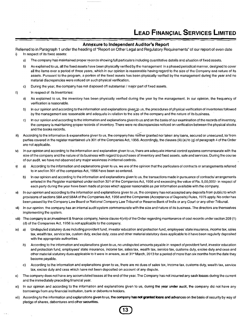#### **Annexure to Independent Auditor's Report**

Referred to in Paragraph 1 under the heading of "Report on Other Legal and Regulatory Requirements" of our report of even date i) In respect of its fixed assets:

- a) The company has maintained proper records showing full particulars including quantitative details and situation of fixed assets.
- b) As explained to us, all the fixed assets have been physically verified by the management in a phased periodical manner, designed to cover all the items over a period of three years, which in our opinion is reasonable having regard to the size of the Company and nature of its assets. Pursuant to the program, a portion of the fixed assets has been physically verified by the management during the year and no material discrepancies were noticed on such physical verification.
- c) During the year, the company has not disposed off substantial /major part of fixed assets.
- ii) In respect of its Inventories:
	- a) As explained to us, the inventory has been physically verified during the year by the management. In our opinion, the frequency of verification is reasonable.
	- b) In our opinion and according to the information and explanations given to us, the procedures of physical verification of inventories followed by the management are reasonable and adequate in relation to the size of the company and the nature of its business.
	- c) In our opinion and according to the information and explanations given to us and on the basis of our examination of the records of inventory, the company is maintaining proper records of inventory. There were no discrepancies noticed on verification between the physical stocks and the books records.
- iii) According to the information & explanations given to us, the company has neither granted nor taken any loans, secured or unsecured, to/ from parties covered in the register maintained u/s 301 of the Companies Act, 1956. Accordingly, the clauses (iii) (a) to (g) of paragraph 4 of the Order are not applicable.
- **N)** In our opinion and according to the information and explanation given to us, there are adequate internal control systems commensurate with the size of the company and the nature of its business with regard to purchases of inventory and fixed assets, sale and sewices. During the course of our audit, we have not observed any major weakness in internal controls.
- a) According to the information and explanations given to us, we are of the opinion that the particulars of contracts or arrangements referred ΛN to in section 301 of the companies Act, 1956 have been so entered.
	- b) In our opinion and according to the information and explanations given to us, the transactions made in pursuance of contracts/ arrangements entered in the Register maintained under section 301 of the Companies Act, 1956 and exceeding the value of Rs. 5,00,0001- in respect of each party during the year have been made at prices which appear reasonable as per information available with the company.
- vi) In our opinion and according to the information and explanations given to us, the company has not accepted any deposits from public to which provisions of sections 58A and 58AA of the Companies Act, 1956 and the Companies (Acceptance of Deposits) Rules, 1975 apply. No order has been passed by the Company Law Board or National Company Law Tribunal or Reserve Bank of India or any Court or any other Tribunal.
- vii) In our opinion, the company has an internal audit system commensurate with the size and nature of its business. The directors are themselves implementing the system.
- viii) The company is an-investment & finance company, hence clause 4(viii) of the Order regarding maintenance of cost records under section 209 (1) (d) of the Companies Act, 1956 is notapplicable to the company.
- ix) a) Undisputed statutory dues including provident fund, investor education and protection fund, employees' state insurance, income tax, sales tax, wealth tax, service tax, custom duty, excise duty, cess and other material statutory dues applicable to it have been regularly deposited with the appropriate authorities.
	- b) According to the information and explanations given to us, no undisputed amounts payable in respect of provident fund, investor education and protection fund, employees' state insurance, income tax, sales tax, wealth tax, service tax, customs duty, excise duty and cess and other material statutory dues applicable to it were in arrears, as at 315' March, 2013 for a period of more than six months from the date they become payable.
	- c) According to the information and explanations given to us, there are no dues of sales tax, income tax, customs duty, wealth tax, service tax, excise duty and cess which have not been deposited on account of any dispute.
- x) The company does not have any accumulated losses at the end of the year. The Company has not incurred any cash losses during the current and the immediately preceding financial year.
- xi) In our opinion and according to the information and explanations given to us, during the year under audit, the company did not have any borrowings from any financial institution, bank or debenture holders.
- xii) According to the information and explanations given to us, **Uw company has nat grmted bans and** advances on the basis of security by way of pledge of shares, debentures and other **securities.**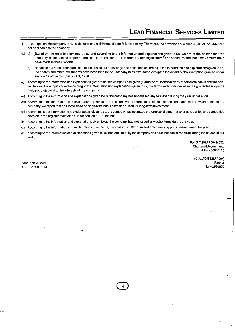- xiii) In our opinion, the company is not a chit fund or a nidhi/ mutual benefit fund/ society. Therefore, the provisions of clause 4 (xiii) of the Order are not applicable to the company. .
- xiv) a) .Based on the records examined by us and according to the information and explanations given to us, we are of the opinion that the company is maintaining proper records of the transactions and contracts of dealing in shares and securities and that timely entries have been made in these records. In the second  $\mathcal{L}$  is a second second second second second second second second second second second second second second second second second second second second second second second seco
	- b) Based on our audit procedures and to the best of our knowledge and belief and according to the information and explanations given to us, the shares and other investments have been held in the Company in its own name except to the extent of the exemption granted under section 49 of the Companies Act, 1956.
- **xv)** According to the information and explanations given to us, the company has given guarantee for loans taken by others from banks and financial institutions. In our opinion and according to the information and explanations given to us, the terms and conditions of such a guarantee are prima facie not prejudicial to the interests of the company.
- xvi) According to the information and explanations given to us, the company has not availed any term loan during the year under audit.
- xvii) According to the information and explanations given to us and on an overall examination of the balance sheet and cash flow statement of the company, we report that no funds raised on short-term basis have been used for long-term investment.
- xviii) According to the information and explanations given to us, the company has not made preferential allotment of shares to parties and companies covered in the register maintained under section 301 of the Act.
- xix) According to the information and explanations given to us, the company had not issued any debentures during the year.
- xx) According to the information and explanations given to us, the company had not raised any money by public issue during the year.
- xxi) According to the information and explanations given to us, no fraud on or by the company has been noticed or reported during the course of our audit.

**For GC.SHARDA** & **CO.**  Chartered Accountants (FRN - 500041 N)

Place : New Delhi Date: 29.05.2013 **(C.A. ADlT SHARDA)**  Partner M.No.526605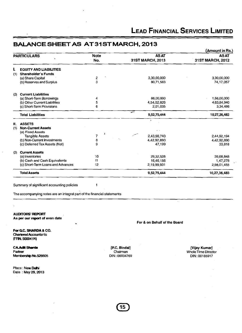#### **(Amount in Rs.) PARTICULARS Note AS AT AS AT No. 31ST MARCH, 2013** 31ST MARCH, 2012 **I.** EQUITY AND LIABILITIES (1) Shareholder's Funds (a) Share Capital  $\overline{c}$ 3.30.00.000 3.30.00.000 (b) Reserves and Surplus 3 80,71,583 74.17.057 (2) Current Liabilities (a) Shod-Term Borrowings 86,00,000 1,56,00,000  $\overline{\mathbf{A}}$ **(b)** Other Current Liabilities 5 4,54,02,826 4,63,84,940 - (c) Short-Term Provisions 6 2,01,035 3,34,486 Total Liabilities **9,52,75,444 10,27,36,483 i**  II. ASSETS<br>(1) Non-Curt (1) Non-Current Assets (a) Fixed Assets  $\overline{7}$ Tangible Assets 2,43,56,740 2,44,92,194  $4,42,92,890$ **(b)** Non-Current Investments 8 4,42,92,890 (c) Deferred Tax Assets (Net) 9 47,199 33,818 (2) Current Assets (a) Inventories 10 29,32,528 39,68,848 (b) Cash and Cash Equivalents 11<br>(c) Short-Term Loans and Advances 12 16,46,156 1,47,278 (c) Short-Term Loans and Advances 2,19,99,931 2,98,01,455 **Total Assets 10,27,36,483 10,27,36,483 10,27,36,483**

## **BALANCESHEET AS AT31STMARCH, 2013**

Summary of significant accounting policies 1

The accompanying notes are an integral part of the financial statements

AUDITORS' REPORT As per our report of even date

**Fa GC. SHARDA** & CO. **Charlered Accountants ~5000(1N)** 

**CA.Adit Sharda** Partner Membership No.526605

Place : New **Delhi**  Date : May **29,2013** 

[P.C. Bindal] Chairman DIN : 00004769 For & on Behalf of the Board

[Vijay Kumar] Whole Time Director DIN:00165917

--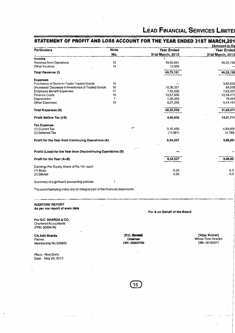| <b>Particulars</b>                                           | <b>Note</b>    | <b>Year Ended</b> | (Amount in Rs<br><b>Year Ended</b> |
|--------------------------------------------------------------|----------------|-------------------|------------------------------------|
|                                                              | No.            | 31st March, 2013  | <b>31st March, 2012</b>            |
| Income                                                       |                |                   |                                    |
| Revenue from Operations                                      | 13             | 49.65.661         | 46,35,190                          |
| Other Incomes                                                | 14             | 13,500            |                                    |
| <b>Total Revenue (I)</b>                                     |                | 49,79,161         | 46,35,190                          |
| <b>Expenses</b>                                              |                |                   |                                    |
| Purchases of Stock-in-Trade/Traded Goods                     | 15             |                   | 3.63,532                           |
| (Increase)/ Decrease in Inventories of Traded Goods          | 16             | 10,36,321         | 85,538                             |
| <b>Employee Benefit Expenses</b>                             | 17             | 7,55,630          | 7,63,337                           |
| <b>Finance Costs</b>                                         | 18             | 12,67,905         | 12,48,415                          |
| Depreciation                                                 | $\overline{7}$ | 1,35,453          | 78,491                             |
| Other Expenses                                               | 19             | 8,27,250          | 6,44,161                           |
| <b>Total Expenses (II)</b>                                   |                | 40,22,559         | 31,83,474                          |
| Profit Before Tax (I-II)                                     |                | 9,56,602          | 14,51,716                          |
| <b>Tax Expense:</b>                                          |                |                   |                                    |
| (1) Current Tax                                              |                | 3.15,456          | 4,69,606                           |
| (2) Deferred Tax                                             |                | (13,381)          | (4,788)                            |
| Profit for the Year from Continuing Operations (A)           |                | 6,54,527          | 9,86,89                            |
| Profit/(Loss) for the Year from Discontinuing Operations (B) |                | .                 |                                    |
|                                                              |                |                   |                                    |
| Profit for the Year (A+B)                                    |                | 6,54,527          | 9,86,89                            |
| Earnings Per Equity Share of Rs.10/- each                    |                |                   |                                    |
| $(1)$ Basic                                                  |                | 0.20              | 0.3                                |
| (2) Diluted                                                  |                | 0.20              | .0.3                               |

Summary of significant accounting policies 1

The accompanying notes are an integral part of the financial statements

AUDITORS' REPORT As per our report of even date

For GC. SHARDA & CO. Chartered Accountants (FRN. 500041 **N)** 

CA.Adit Sharda Partner Membership No.526605

Place : New Delhi Date: May 29, 2013 For & on Behalf of the Board

[P.C. **Bindal**]<br>Chairman DIN : **00004769** 

 $\overline{a}$ 

16

[Vijay Kumar] Whole Time Director DIN: 00165917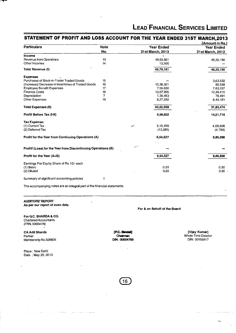## **STATEMENT OF PROFIT AND LOSS ACCOUNT FOR THE YEAR ENDED 31ST MARCH,2013**

|                                                              |             |                  | (Amount in Rs.)   |
|--------------------------------------------------------------|-------------|------------------|-------------------|
| <b>Particulars</b>                                           | <b>Note</b> | Year Ended       | <b>Year Ended</b> |
|                                                              | No.         | 31st March, 2013 | 31st March, 2012  |
| Income                                                       |             |                  |                   |
| Revenue from Operations                                      | 13          | 49,65,661        | 46 35,190         |
| Other Incomes                                                | 14          | 13,500           |                   |
| Total Revenue (I)                                            |             | 49,79,161        | 46,35,190         |
| <b>Expenses</b>                                              |             |                  |                   |
| Purchases of Stock-in-Trade/Traded Goods                     | 15          |                  | 3,63,532          |
| (Increase)/ Decrease in Inventories of Traded Goods          | 16          | 10,36,321        | 85,538            |
| <b>Employee Benefit Expenses</b>                             | 17          | 7,55,630         | 7,63,337          |
| <b>Finance Costs</b>                                         | 18          | 12,67,905        | 12.48,415         |
| Depreciation                                                 | 7           | 1.35,453         | 78,491            |
| <b>Other Expenses</b>                                        | 19          | 8.27,250         | 6,44,161          |
| <b>Total Expenses (II)</b>                                   |             | 40,22,559        | 31,83,474         |
| Profit Before Tax (I-II)                                     |             | 9,56,602         | 14,51,716         |
| Tax Expense:                                                 |             |                  |                   |
| (1) Current Tax                                              |             | 3,15,456         | 4,69,606          |
| (2) Deferred Tax                                             |             | (13,381)         | (4,788)           |
| Profit for the Year from Continuing Operations (A)           |             | 6,54,527         | 9,86,898          |
|                                                              |             |                  |                   |
| Profit/(Loss) for the Year from Discontinuing Operations (B) |             |                  |                   |
| Profit for the Year (A+B)                                    |             | 6,54,527         | 9,86,898          |
| Earnings Per Equity Share of Rs.10/- each                    |             |                  |                   |
| $(1)$ Basic                                                  |             | 0.20             | 0.30              |
| (2) Diluted                                                  |             | 0.20             | $0.30$ .          |
| Summary of significant accounting policies                   | 1           |                  |                   |

The accompanying notes are an integral part of the financial statements

 $\ddot{\phantom{a}}$ 

AUDITORS' REPORT As per our report of even date

For GC. SHARDA & CO. Chartered Accountants (FRN. 500041 N)

CA.Adit Sharda Partner Membership No.526605

Place : New Delhi Date : May 29,2013 For & on Behalf of the Board

[P.C. Bindal] Chairman DIN: 00004769

16

**[Vijay** Kumar] Whole Time Director DIN : 00165917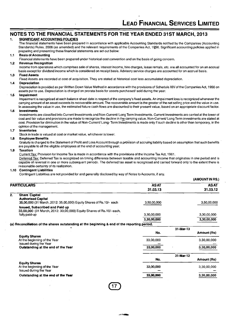## **NOTES TO THE FINANCIAL STATEMENTS FOR THE YEAR ENDED 31ST MARCH, 2013**

#### **1. SIGNIFICANT ACCOUNTING POLICIES**

The financial statements have been prepared in accordance with applicable Accounting Standards notified by the Companies (Accounting Standards) Rules, 2006 (as amended) and the relevant requirements of the Companies Act, 1956. Significant accounting policies applied in preparing and presenting these financial statements are set out below:

#### **1.1 Basis of Accounting**

Financial statements have been prepared under historical cost convention and on the basis of going concern.

### **1.2 Revenue Recognition**

lncorne from operations which comprises sale of shares, interest income, hire charges, lease rentals, etc. are all accaunted for on an accrual basis except for dividend income which is considered on receipt basis. Advisory service charges are accounted for on accrual basis.

#### **1.3 Fixed Assets**

Fixed Assets are recorded at cost of acquisition. They are stated at historical cost less accumulated depreciation.

#### **1.4 Depreciation**

Depreciation is provided as per Written Down Value Method in accordance with the provisions of Schedule XIVof the Companies Act, 1956 on assets put to use. Depreciation is charged on prorata basis for assets purchased/ sold during the year.

#### **1.5 lmpairment**

lmpairment is recognized at each balance sheet date in respect of the company'sfixed assets. An impairment loss is recognized whenever the carrying amount of an asset exceeds its recoverable amount. The recoverable amount is the greater of the net selling price and the value in use. In assessing the value in use, the estimated future cash flows are discounted to their present value, based on an appropriate discount factor.

#### **1.6 lnvestments**

lnvestments are classified into Current Investments and Non-Current/ Long Term Investments. Current lnvestments are carried at the lower of cost and fair value and provisions are made to recognize the decline in the carrying value. Non-Current/ Long Term investments are stated at cost. Provision for diminution in the value of Non-Current/ Long- Term Investments is made only if such decline is otherthan temporary, in the opinion of the management.

#### **1.7 Inventories**

Stock in trade is valued at cost or market value, whichever is lower. **1.8 Employee Benefits** . .

Gratuity is charged to the Statement of Profit and Loss Account through a provision of accruing liability based on assumption that such benefits are payable to all the eligible employees at the end of accounting year.

#### **1.9 Taxation**

Current Tax: Provision for Income Tax is made in accordance with the provisions of the lncorne Tax Act, 1961.

Deferred Tax: Deferred Tax is recognized on timing difference between taxable and accounting income that originates in one period and is capable of reversal in one or more subsequent periods. The deferred tax asset is recognized and carried forward only to the extent there is reasonable certainty of its realization.

#### **1.10 Contingent Liabilities**

Contingent Liabilities are not provided for and generally disclosed by way of Notes to Accounts, if any.

|                                                                                                                                |                         | (AMOUNT IN RS.)         |
|--------------------------------------------------------------------------------------------------------------------------------|-------------------------|-------------------------|
| <b>PARTICULARS</b>                                                                                                             | <b>ASAT</b><br>31.03.13 | <b>ASAT</b><br>31.03.12 |
| <b>Share Capital</b><br>2.<br><b>Authorised Capital</b><br>35,00,000 (31 March, 2012: 35,00,000) Equity Shares of Rs.10/- each | 3,50,00,000             | 3,50,00,000             |
| <b>Issued, Subscribed and Paid up</b><br>33,00,000 (31 March, 2012: 33,00,000) Equity Shares of Rs.10/- each,                  |                         |                         |
| fully paid-up                                                                                                                  | 3.30.00.000             | 3.30.00.000             |
|                                                                                                                                | 3,30,00,000             | 3,30,00,000             |

|           | 31-Mar-13   |
|-----------|-------------|
| No.       | Amount (Rs) |
| 33,00,000 | 3,30,00,000 |
| 33,00,000 | 3,30,00,000 |
|           | 31-Mar-12   |
| No.       | Amount (Rs) |
| 33,00,000 | 3,30,00,000 |
| 33,00,000 | 3,30,00,000 |
|           |             |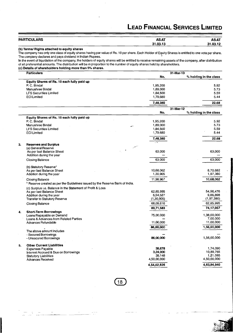| PARTICULARS | <b>ASAT</b> | <b>ASAT</b> |
|-------------|-------------|-------------|
|             | 31.03.13    | 31.03.12    |

## (b) Terms/ Rights attached to equity shares

The company has only one class of equity shares having par value of Rs. 10 per share. Each Holder of Equity Shares is entitled to one vote per share. The company declares and pays dividend in Indian Rupees.

In the event of liquidation of the company, the holders of equity shares will be entitled to receive remaining assets of the company, after distribution of all preferential amounts. The distribution will be in proportion to the number of equity shares held by shareholders.

(c) Details of shareholders holding more than 5% shares.

|    | <b>Particulars</b>                                                           |                | 31-Mar-13              |
|----|------------------------------------------------------------------------------|----------------|------------------------|
|    |                                                                              | No.            | % holding in the class |
|    | Equity Shares of Rs. 10 each fully paid up                                   |                |                        |
|    | P. C. Bindal                                                                 | 1,95,200       | 5.92                   |
|    | Manushree Bindal                                                             | 1,89,000       | 5.73                   |
|    | <b>LFS Securities Limited</b>                                                | 1,84,500       | 5.59                   |
|    | <b>ECI Limited</b>                                                           | 1,79,680       | 5.44                   |
|    |                                                                              |                |                        |
|    |                                                                              | 7,48,380       | 22.68                  |
|    |                                                                              |                | 31-Mar-12              |
|    |                                                                              | No.            | % holding in the class |
|    | Equity Shares of Rs. 10 each fully paid up                                   |                |                        |
|    | P. C. Bindal                                                                 | 1,95,200       | 5.92                   |
|    | Manushree Bindal                                                             | 1,89,000       | 5.73                   |
|    | <b>LFS Securities Limited</b>                                                | 1,84,500       | 5.59                   |
|    | <b>ECI Limited</b>                                                           | 1,79,680       | 5.44                   |
|    |                                                                              |                |                        |
|    |                                                                              | 7,48,380       | 22.68                  |
| 3. | <b>Reserves and Surplus</b>                                                  | $\overline{a}$ |                        |
|    | (a) General Reserve                                                          |                |                        |
|    | As per last Balance Sheet                                                    | 63,000         | 63,000                 |
|    | Addition during the year                                                     |                |                        |
|    | <b>Closing Balance</b>                                                       | 63,000         | 63,000                 |
|    | (b) Statutory Reserve*                                                       |                |                        |
|    | As per last Balance Sheet                                                    | 10.68.062      | 8.70.682               |
|    | Addition during the year                                                     | 1,30,905       | 1,97,380               |
|    |                                                                              |                |                        |
|    | Closing Balance                                                              | 11,98,967      | 10,68,062              |
|    | * Reserve created as per the Guidelines issued by the Reserve Bank of India. |                |                        |
|    | (c) Surplus i.e. Balance in the Statement of Profit & Loss                   |                |                        |
|    | As per last Balance Sheet                                                    | 62,85,995      | 54,96,476              |
|    | Addition during the year                                                     | 6,54,527       | 9,86,898               |
|    | <b>Transfer to Statutory Reserve</b>                                         | (1,30,905)     | (1, 97, 380)           |
|    | <b>Closing Balance</b>                                                       | 68,09,616      | 62,85,995              |
|    |                                                                              | 80,71,583      | 74,17,057              |
| 4. | <b>Short-Term Borrowings</b>                                                 |                |                        |
|    | Loans Repayable on Demand                                                    | 75,00,000      | 1,38,00,000            |
|    | Loans & Advances from Related Parties                                        |                | 7,00,000               |
|    | Advances Refundable                                                          | 11,00,000      | 11,00,000              |
|    |                                                                              | 86,00,000      | 1,56,00,000            |
|    | The above amount includes                                                    |                |                        |
|    | - Secured Borrowings                                                         |                |                        |
|    | - Unsecured Borrowings                                                       | 86,00,000      | 1,56,00,000            |
|    |                                                                              |                |                        |
| 5. | <b>Other Current Liabilities</b>                                             |                |                        |
|    | <b>Expenses Payable</b>                                                      | 39,678         | 1,74,090               |
|    | Interest Accrued & Due on Borrowings                                         | 3,24,000       | 10,89,765              |
|    | <b>Statutory Liabilities</b>                                                 | 39,148         | 1,21,085               |
|    | <b>Advances Received</b>                                                     | 4,50,00,000    | 4,50,00,000            |
|    |                                                                              | 4,54,02,826    | 4,63,84,940            |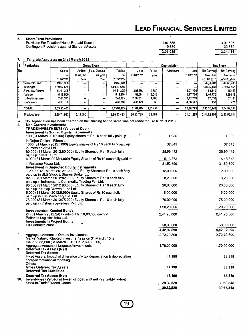| 6. | <b>Short-Term Provisions</b>                         |          |          |
|----|------------------------------------------------------|----------|----------|
|    | Provision For Taxation [Net of Prepaid Taxes]        | 1.81.655 | 3.01.606 |
|    | <b>Contingent Provisions against Standard Assets</b> | 19,380   | 32,880   |
|    |                                                      | 2.01.035 | 3.34.486 |
|    |                                                      |          |          |

## 7. Tangible Assets as on 31st March 2013

| ls.                                                  | <b>Particulars</b>                                                                                                                                                                                                                      |                          |                          | <b>Gross Block</b> |                          | Depreciation   |           |             | <b>Net Block</b> |                       |                       |
|------------------------------------------------------|-----------------------------------------------------------------------------------------------------------------------------------------------------------------------------------------------------------------------------------------|--------------------------|--------------------------|--------------------|--------------------------|----------------|-----------|-------------|------------------|-----------------------|-----------------------|
| ĺΝo.                                                 |                                                                                                                                                                                                                                         | Cost as                  | Addition                 | Sale / Disposal    | Total as                 | Up to          | Forthe    | Adjustment  | Upto             | Net Carrying          | Net Carrying          |
|                                                      |                                                                                                                                                                                                                                         | <b>a</b>                 | During the               | During the         | on.                      | 01.04.2012     | year      |             | 31.03.2013       | Amount as             | Amount as             |
|                                                      |                                                                                                                                                                                                                                         | 01.04.2012               | Year                     | Year               | 31.03.2013               |                |           |             |                  | on 31.03.2013         | on 31.03.2012         |
| ī                                                    | Leasehold Land                                                                                                                                                                                                                          | 49,66,908                | ---                      |                    | 49,66,908                | --             | ---       | ---         | --               | 49,66,908             | 49,66,908             |
| $\begin{array}{c} 2 \\ 3 \\ 4 \\ 5 \\ 6 \end{array}$ | Buildings#<br>Furiture & Fixtures                                                                                                                                                                                                       | 1,89,67,655<br>14,61,325 | ---                      | ⊷                  | 1,89,67,655<br>14,61,325 | -<br>13,95,856 | 11,850    | <br>--      | --<br>14,07,706  | 1,89,67,655<br>53,619 | 1,89,67,655<br>65,469 |
|                                                      | Vehicle                                                                                                                                                                                                                                 | 5,18,500                 |                          |                    | 5,18,500                 | 58,684         | 1,19,046  | ---         | 1,77,730         | 3,40,770              | 4,59,816              |
|                                                      | <b>Office Equipments</b>                                                                                                                                                                                                                | 2.40,375                 |                          |                    | 2,40,375                 | 2,08,251       | 4.468     | —           | 2,12,719         | 27,656                | 32.124                |
|                                                      | Computers                                                                                                                                                                                                                               | 4,38,700                 | $\overline{\phantom{0}}$ | --                 | 4,38,700                 | 4,38,479       | 88        | — <b>.</b>  | 4,38,567         | 133                   | 221                   |
|                                                      | <b>TOTAL</b>                                                                                                                                                                                                                            | 2,65,93,463              |                          |                    | 2,65,93,463              | 21,01,269      | 1,35,453  |             | 22,36,723        | 2,43,56,740           | 2,44,92,194           |
|                                                      | Previous Year                                                                                                                                                                                                                           | 2.60.74.963              | 5,18,500                 | ---                | 2,65,93,463              | 20,22,779      | 78,491    |             | 21,01,269        | 2,44,92,194           | 2.40,52,184           |
| #<br>8.                                              | No Depreciation has been charged on the Building as the same was not ready for use till 31.3.2013.<br><b>Non-Current Investments</b><br><b>TRADE INVESTMENTS (Valued at Cost)</b><br><b>Investment in Quoted Equity Instruments</b>     |                          |                          |                    |                          |                |           |             |                  |                       |                       |
|                                                      | 100 (31 March 2012:100) Equity shares of Rs 10 each fully paid up<br>in Guirat Opticals Fibres Ltd                                                                                                                                      |                          |                          |                    |                          |                |           | 1,930       |                  |                       | 1,930                 |
|                                                      | 1000 (31 March 2012:1000) Equity shares of Rs 10 each fully paid up<br>in Premier Vinyl Ltd.                                                                                                                                            |                          |                          |                    |                          |                |           | 37,645      |                  |                       | 37,645                |
|                                                      | 80,000 (31 March 2012:80,000) Equity Shares of Rs 10 each fully<br>paid up in NHPC Ltd.                                                                                                                                                 |                          |                          |                    |                          |                |           | 25,99,442   |                  |                       | 25,99.442             |
|                                                      | 4,000 (31 March 2012:4,000) Equity Shares of Rs 10 each fully paid up                                                                                                                                                                   |                          |                          |                    |                          |                |           | 5,13,873    |                  |                       | 5,13,873              |
|                                                      | in Reliance Power Ltd.                                                                                                                                                                                                                  |                          |                          |                    |                          |                | 31,52,890 |             |                  | 31,52,890             |                       |
|                                                      | <b>Investment in Unquoted Equity Instruments</b><br>1,20,000 (31 March 2012:1,20,000) Equity Shares of Rs 10 each fully<br>paid up in SLS Stock & Shares Broker Ltd.<br>82,000 (31 March 2012:82,000) Equity Shares of Rs 10 each fully |                          |                          |                    |                          |                |           | 12,00,000   |                  |                       | 12,00,000             |
|                                                      |                                                                                                                                                                                                                                         |                          |                          |                    |                          |                |           | 8,20,000    |                  |                       | 8.20.000              |
|                                                      | paid up in Indraprastha Commodity Trading Pvt. Ltd.<br>80,000 (31 March 2012:80,000) Equity Shares of Rs 10 each fully<br>paid up in Balaji Growth Fund Ltd.                                                                            |                          |                          |                    |                          |                |           | 20,00,000   |                  |                       | 20,00,000             |
|                                                      | 5,000 (31 March 2012:5,000) Equity Shares of Rs 10 each fully<br>paid up in Kriti Machinery Pvt. Ltd.                                                                                                                                   |                          |                          |                    |                          |                |           | 5,00,000    |                  |                       | 5,00,000              |
|                                                      | 75,000 (31 March 2012:75,000) Equity Shares of Rs 10 each fully<br>paid up in Vishesh Jewellers Pvt. Ltd.                                                                                                                               |                          |                          |                    |                          |                |           | 75,00,000   |                  |                       | 75,00,000             |
|                                                      |                                                                                                                                                                                                                                         |                          |                          |                    |                          |                |           | 1,20,20,000 |                  |                       | 1,20,20,000           |
|                                                      | <b>Investments in Quoted Bonds</b><br>24 (31 March 2012:24) Bonds of Rs. 10,00,000 each in<br>Reliance Logistics Infra Ltd.                                                                                                             |                          |                          |                    |                          |                |           | 2,41,20,000 |                  |                       | 2,41,20,000           |
|                                                      | <b>Investments in Project Equity</b><br><b>IDFC Infrastructure</b>                                                                                                                                                                      |                          |                          |                    |                          |                |           | 50,00,000   |                  |                       | 50,00,000             |
|                                                      |                                                                                                                                                                                                                                         |                          |                          |                    |                          |                |           | 4,42,92,890 |                  |                       | 4,42,92,890           |
|                                                      | Aggregate Amount of Quoted Investments                                                                                                                                                                                                  |                          |                          |                    |                          |                |           | 2,72,72,890 |                  |                       | 2,72,72,890           |
|                                                      | Market Value of Quoted Investments as on 31 March, 13 is<br>Rs. 2,58,38,200 (31 March 2012: Rs. 2,60,39,600)                                                                                                                            |                          |                          |                    |                          |                |           |             |                  |                       |                       |
| 9.                                                   | Aggregate Amount of Unquoted Investments<br>Deferred Tax Assets (Net)                                                                                                                                                                   |                          |                          |                    |                          |                |           | 1,70,20,000 |                  |                       | 1,70,20,000           |
|                                                      | <b>Deferred Tax Assets</b><br>Fixed Assets: Impact of difference b/w tax depreciation & depreciation<br>charged for financial reporting<br>Others                                                                                       |                          |                          |                    |                          |                |           | 47,199      |                  |                       | 33,818                |
|                                                      | <b>Gross Deferred Tax Assets</b><br><b>Deferred Tax Liabilities</b>                                                                                                                                                                     |                          |                          |                    |                          |                |           | 47,199      |                  |                       | 33,818                |
|                                                      | <b>Deferred Tax Assets (Net)</b>                                                                                                                                                                                                        |                          |                          |                    |                          |                |           | 47,199      |                  |                       | 33,818                |
| 10.                                                  | inventories (Valued at lower of cost and net realizable value)<br>Stock-in-Trade/Traded Goods                                                                                                                                           |                          |                          |                    |                          |                |           |             |                  |                       |                       |
|                                                      |                                                                                                                                                                                                                                         |                          |                          |                    |                          |                |           | 29,32,528   |                  |                       | 39,68,848             |
|                                                      |                                                                                                                                                                                                                                         |                          |                          |                    |                          |                |           | 29,32,528   |                  |                       | 39,68,848             |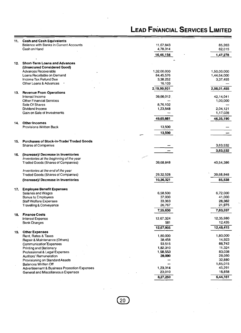| 11. | <b>Cash and Cash Equivalents</b>                       |                 |             |
|-----|--------------------------------------------------------|-----------------|-------------|
|     | <b>Balance with Banks in Current Accounts</b>          | 11,67,843       | 85,263      |
|     | Cash on Hand                                           | 4,78,314        | 62,015      |
|     |                                                        | 16,46,156       | 1,47,278    |
|     |                                                        |                 |             |
| 12. | <b>Short-Term Loans and Advances</b>                   |                 |             |
|     | (Unsecured Considered Good)                            |                 |             |
|     | Advances Recoverable                                   | 1,32,00,000     | 1,50,00,000 |
|     | Loans Recallable on Demand                             | 84,45,576       | 1,44,64,000 |
|     | Income Tax Refund Due                                  | 3,38,252        | 3,37,455    |
|     | Other Loans & Advances                                 | 16,103          |             |
|     |                                                        | 2,19,99,931     | 2,98,01,455 |
| 13. | <b>Revenue From Operations</b><br>Interest Income      | 39,66,012       | 42,14,041   |
|     | <b>Other Financial Services</b>                        |                 | 1,00,000    |
|     | Sale Of Shares                                         | 8,76,102        |             |
|     | Dividend Income                                        | 1,23,548        | 2,04,121    |
|     | Gain on Sale of Investments                            |                 | 1,17,028    |
|     |                                                        | 49,65,661       | 46,35,190   |
| 14. | <b>Other Incomes</b>                                   |                 |             |
|     | <b>Provisions Written Back</b>                         | 13,500          |             |
|     |                                                        |                 |             |
|     |                                                        | 13,500          |             |
|     | <b>Purchases of Stock-in-Trade/Traded Goods</b>        |                 |             |
| 15. | <b>Shares of Companies</b>                             |                 | 3,63,532    |
|     |                                                        |                 |             |
| 16. | (Increase)/ Decrease in Inventories                    |                 | 3,63,532    |
|     | Inventories at the beginning of the year               |                 |             |
|     | Traded Goods (Shares of Companies)                     | t,<br>39,68,848 | 40,54,386   |
|     |                                                        |                 |             |
|     | Inventories at the end of the year                     |                 |             |
|     | Traded Goods (Shares of Companies)                     | 29,32,528       | 39,68,848   |
|     | (Increase)/ Decrease in Inventories                    | 10,36,321       | 85,538      |
|     |                                                        |                 |             |
| 17. | <b>Employee Benefit Expenses</b>                       |                 |             |
|     | Salaries and Wages                                     | 6,58,500        | 6,72,000    |
|     | <b>Bonus to Employees</b>                              | 37,000          | 41,000      |
|     | <b>Staff Welfare Expenses</b>                          | 33,363          | 28,362      |
|     | <b>Travelling &amp; Conveyance</b>                     | 26,767          | 21,975      |
|     |                                                        | 7,55,630        | 7,63,337    |
| 18. | <b>Finance Costs</b>                                   |                 |             |
|     | <b>Interest Expense</b>                                | 12,67,324       | 12,35,980   |
|     | <b>Bank Charges</b>                                    | 581             | 12,435      |
|     |                                                        | 12,67,905       | 12,48,415   |
| 19. | <b>Other Expenses</b>                                  | 1,80,000        | 1,80,000    |
|     | Rent, Rates & Taxes<br>Repair & Maintenance (Others)   | 38,458          | 14,923      |
|     | Communication Expenses                                 | 93,515          | 66,742      |
|     | <b>Printing and Stationery</b>                         | 1,82,310        | 11,324      |
|     | Professional & Legal Expenses                          | 1,58,553        | 83,038      |
|     | <b>Auditors' Remuneration</b>                          | 28,090          | 28,090      |
|     | Provisioning on Standard Assets                        |                 | 32,880      |
|     | <b>Balances Written Off</b>                            |                 | 1,65,015    |
|     | <b>Advertisement &amp; Business Promotion Expenses</b> | 1,23,314        | 45,291      |
|     | General and Miscellaneous Expenses                     | 23,010          | 16,858      |
|     |                                                        | 8,27,250        | 6,44,161    |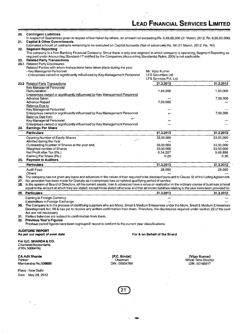| 20.     | <b>Contingent Liabilities</b>                                                                                                                           |                              |                            |
|---------|---------------------------------------------------------------------------------------------------------------------------------------------------------|------------------------------|----------------------------|
|         | In respect of Guarantees given in respect of loan taken by others, an amount not exceeding Rs. 6,89,00,000 (31 March, 2012: Rs. 6,50,00,000)            |                              |                            |
| 21.     | <b>Capital &amp; Other Commitments</b>                                                                                                                  |                              |                            |
|         | Estimated amount of contracts remaining to be executed on Capital Accounts (Net of advances) Rs. Nil (31 March, 2012: Rs. Nil)                          |                              |                            |
|         | 22. Segment Reporting                                                                                                                                   |                              |                            |
|         | The company is a Non Banking Financial Company. Since there is only one segment in which company is operating, Segment Reporting as                     |                              |                            |
|         | required under Accounting Standard-17 notified by the Companies (Accounting Standards) Rules, 2006 is not applicable.                                   |                              |                            |
| 23.     | <b>Related Party Transactions</b>                                                                                                                       |                              |                            |
|         | 23.1 Related Party Disclosures                                                                                                                          |                              |                            |
|         | Related Parties with whom transactions have taken place during the year                                                                                 |                              |                            |
|         | - Key Managerial Personnel                                                                                                                              | Mr. Vijay Kumar              |                            |
|         | - Enterprises owned or significantly influenced by Key Management Personnel                                                                             | <b>LFS Securities Ltd</b>    |                            |
|         |                                                                                                                                                         | LFS Services Pvt. Ltd.       |                            |
|         | 23.2 Related Party Transactions                                                                                                                         | 31.3.2013                    | 31.3.2012                  |
|         | <b>Key Managerial Personnel</b>                                                                                                                         |                              |                            |
|         | Remuneration                                                                                                                                            | 1,88,500                     | 1,80,000                   |
|         | Enterprises owned or significantly influenced by Key Management Personnel                                                                               |                              |                            |
|         | Advance Taken                                                                                                                                           |                              | 7,00,000                   |
|         | <b>Advance Repaid</b>                                                                                                                                   | 7,00,000                     |                            |
|         | Balance Due to                                                                                                                                          |                              |                            |
|         | Key Managerial Personnel                                                                                                                                |                              |                            |
|         | Enterprises owned or significantly influenced by Key Management Personnel                                                                               |                              | 7,00,000                   |
|         |                                                                                                                                                         |                              |                            |
|         | <b>Balance Due from</b><br>Key Managerial Personnel                                                                                                     |                              |                            |
|         |                                                                                                                                                         |                              |                            |
|         | Enterprises owned or significantly influenced by Key Management Personnel                                                                               |                              |                            |
| 24.     | <b>Earnings Per Share</b>                                                                                                                               |                              |                            |
|         | <b>Particulars</b>                                                                                                                                      | 31.3.2013                    | 31.3.2012                  |
|         | Opening Number of Equity Shares                                                                                                                         | 33,00,000                    | 33,00,000                  |
|         | Allotted during the Year                                                                                                                                |                              |                            |
|         | Outstanding Number of Shares at the year end.                                                                                                           | 33,00,000                    | 33,00,000                  |
|         | Weighted number of Shares                                                                                                                               | 33,00,000                    | 33,00,000                  |
|         | Net Profit after Tax (Rs.)                                                                                                                              | 6,54,527                     | 9,86,898                   |
|         | Earning Per Share (Rs.)                                                                                                                                 | 0.20                         | 0.30                       |
|         | 25. Payment to Auditors                                                                                                                                 |                              |                            |
|         | <b>Particulars</b>                                                                                                                                      | 31.3.2013                    | 31.3.2012                  |
|         |                                                                                                                                                         |                              |                            |
|         | <b>Audit Fees</b>                                                                                                                                       | 28,090                       | 28,090                     |
|         | Others                                                                                                                                                  |                              |                            |
|         | 26. The company has not given any loans and advances in the nature of loan required to be disclosed pursuant to Clause 32 of the Listing Agreement.     |                              |                            |
|         | 27. No. provision has been made for Gratuity as no employee has completed qualifying period of service.                                                 |                              |                            |
| 28.     | In the opinion of Board of Directors, all the current assets, loan & advances have a value on realization in the ordinary course of business at least   |                              |                            |
|         | equal to the amount at which they are stated, except those stated otherwise and that all known liabilities relating to the year have been provided for. |                              |                            |
|         | 29. Particulars                                                                                                                                         | 31.3.2013                    | 31.3.2012                  |
|         | <b>Earning in Foreign Currency</b>                                                                                                                      |                              |                            |
|         | <b>Expenditure in Foreign Exchange</b>                                                                                                                  |                              |                            |
|         | 30. The Company is in the process of identifying suppliers who are Micro, Small & Medium Enterprises under the Micro, Small & Medium Enterprises        |                              |                            |
|         | Development Act, 06 & has yet to receive any written confirmation from them. Therefore, the disclosures required under section 22 of the said           |                              |                            |
|         | Act are not necessary.                                                                                                                                  |                              |                            |
|         | <b>31.</b> Parties balances are subject to confirmation from them.                                                                                      |                              |                            |
|         | 32. Previous Year's Figures                                                                                                                             |                              |                            |
|         | Previous period figures have been regrouped/ recast to conform to the current year classifications.                                                     |                              |                            |
|         |                                                                                                                                                         |                              |                            |
|         | <b>AUDITORS' REPORT</b>                                                                                                                                 |                              |                            |
|         | As per our report of even date                                                                                                                          | For & on Behalf of the Board |                            |
|         |                                                                                                                                                         |                              |                            |
|         | For G.C. SHARDA & CO.                                                                                                                                   |                              |                            |
|         | <b>Chartered Accountants</b>                                                                                                                            |                              |                            |
|         | (FRN. 500041N)                                                                                                                                          |                              |                            |
|         |                                                                                                                                                         |                              |                            |
|         | <b>CA.Adit Sharda</b><br>[P.C. Bindal]                                                                                                                  |                              | [Vijay Kumar]              |
| Partner | Chairman                                                                                                                                                |                              | <b>Whole Time Director</b> |
|         | Membership No.526605<br>DIN : 00004769                                                                                                                  |                              | DIN:00165917               |
|         |                                                                                                                                                         |                              |                            |
|         | Place : New Delhi                                                                                                                                       |                              |                            |
|         | Date : May 29, 2012                                                                                                                                     |                              |                            |
|         |                                                                                                                                                         |                              |                            |
|         |                                                                                                                                                         |                              |                            |

 $(21)$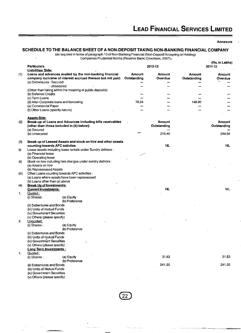Annexure

## **SCHEDULE TO THE BALANCE SHEET OF A NON-DEPOSITTAKING NON-BANKING FINANCIAL COMPANY**

(as required in terms of paragraph 13 of Non-Banking Financial (Non-Deposit Accepting or Holding)

 $\ddot{\phantom{a}}$ 

Companies Prudential Norms (Reserve Bank) Directions, 2007).

|       | <b>Particulars</b>                                                                     |                       | 2012-13                  |               | (Rs. in Lakhs)<br>2011-12 |
|-------|----------------------------------------------------------------------------------------|-----------------------|--------------------------|---------------|---------------------------|
| (1)   | <b>Liabilities Side:</b><br>Loans and advances availed by the non-banking financial    | Amount<br>Outstanding | <b>Amount</b><br>Overdue | <b>Amount</b> | Amount                    |
|       | company inclusive of interest accrued thereon but not paid:<br>(a) Debentures: Secured |                       |                          | Outstanding   | <b>Overdue</b>            |
|       | : Unsecured                                                                            |                       |                          |               |                           |
|       | (Other than falling within the meaning of public deposits)                             |                       |                          |               |                           |
|       | (b) Deferred Credits                                                                   |                       |                          |               |                           |
|       | (c) Term Loans                                                                         |                       |                          |               |                           |
|       | (d) Inter-Corporate loans and borrowing                                                | 78.24                 |                          | 148.90        |                           |
|       | (e) Commercial Paper                                                                   |                       |                          |               |                           |
|       | (f) Other Loans (specify nature)                                                       |                       |                          |               |                           |
|       | <b>Assets Side:</b>                                                                    |                       |                          |               |                           |
| (2)   | Break-up of Loans and Advances including bills receivables                             |                       | <b>Amount</b>            |               | Amount                    |
|       | [other than those included in (4) below]:                                              |                       | Outstanding              |               | Outstanding               |
|       | (a) Secured                                                                            |                       |                          |               |                           |
|       | (b) Unsecured                                                                          |                       | 216.46                   |               | 294.64                    |
| (3)   | Break up of Leased Assets and stock on hire and other assets                           |                       |                          |               |                           |
|       | counting towards AFC activites                                                         |                       | <b>NIL</b>               |               | NIL                       |
| (i)   | Lease assets including lease rentals under Sundry debtors:                             |                       |                          |               |                           |
|       | (a) Financial lease                                                                    |                       |                          |               |                           |
|       | (b) Operating lease                                                                    |                       |                          |               |                           |
| (ii)  | Stock on hire including hire charges under sundry debtors :                            |                       |                          |               |                           |
|       | (a) Assets on hire                                                                     |                       |                          |               |                           |
|       | (b) Repossessed Assets                                                                 |                       |                          |               |                           |
| (iii) | Other Loans counting towards AFC activities :                                          |                       |                          |               |                           |
|       | (a) Loans where assets have been repossessed                                           |                       |                          |               |                           |
|       | (b) Loans other than (a) above                                                         |                       |                          |               |                           |
| (4)   | <b>Break Up of Investments:</b><br>Current Investments:                                |                       | <b>NIL</b>               |               | <b>NIL</b>                |
| 1.    | Quoted:                                                                                |                       |                          |               |                           |
|       | (i) Shares:<br>(a) Equity                                                              |                       |                          |               |                           |
|       | (b) Preference                                                                         |                       |                          |               |                           |
|       | (ii) Debentures and Bonds                                                              |                       |                          |               |                           |
|       | (iii) Units of mutual Funds                                                            |                       |                          |               |                           |
|       | (iv) Government Securities                                                             |                       |                          |               |                           |
|       | (v) Others (please specify)                                                            |                       |                          |               |                           |
| 2.    | Unquoted:                                                                              |                       |                          |               |                           |
|       | (i) Shares:<br>(a) Equity                                                              |                       |                          |               |                           |
|       | (b) Preference<br>(ii) Debentures and Bonds                                            |                       |                          |               |                           |
|       | (iii) Units of mutual Funds                                                            |                       |                          |               |                           |
|       | (iv) Government Securities                                                             |                       |                          |               |                           |
|       | (v) Others (please specify)                                                            |                       |                          |               |                           |
|       | Long Term Investments:                                                                 |                       |                          |               |                           |
| 1.    | Quoted:                                                                                |                       |                          |               |                           |
|       | (a) Equity<br>(i) Shares:                                                              |                       | 31.53                    |               | 31.53                     |
|       | (b) Preference                                                                         |                       |                          |               |                           |
|       | (ii) Debentures and Bonds                                                              |                       | 241.20                   |               | 241.20                    |
|       | (iii) Units of Mutual Funds                                                            |                       |                          |               |                           |
|       | (iv) Government Securities                                                             |                       |                          |               |                           |
|       | (v) Others (please specify)                                                            |                       |                          |               |                           |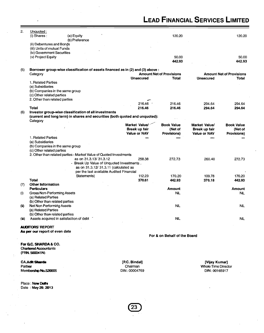| 2.                        | Unquoted:<br>(i) Shares:                                                               | (a) Equity<br>(b) Preference                                                    |                                | 120.20                          |                                | 120.20                          |
|---------------------------|----------------------------------------------------------------------------------------|---------------------------------------------------------------------------------|--------------------------------|---------------------------------|--------------------------------|---------------------------------|
|                           | (ii) Debentures and Bonds<br>(iii) Units of mutual Funds<br>(iv) Government Securities |                                                                                 |                                |                                 |                                |                                 |
|                           | (v) Project Equity                                                                     |                                                                                 |                                | 50.00<br>442.93                 |                                | 50.00<br>442.93                 |
| (5)                       |                                                                                        | Borrower group-wise classification of assets financed as in (2) and (3) above : |                                |                                 |                                |                                 |
|                           | Category                                                                               |                                                                                 |                                | <b>Amount Net of Provisions</b> |                                | <b>Amount Net of Provisions</b> |
|                           |                                                                                        |                                                                                 | <b>Unsecured</b>               | <b>Total</b>                    | <b>Unsecured</b>               | <b>Total</b>                    |
|                           | 1. Related Parties<br>(a) Subsidiaries<br>(b) Companies in the same group              |                                                                                 |                                |                                 |                                |                                 |
|                           | (c) Other related parties<br>2. Other than related parties                             |                                                                                 |                                |                                 |                                |                                 |
|                           |                                                                                        |                                                                                 | 216.46 '                       | 216.46                          | 294.64                         | 294.64                          |
|                           | Total                                                                                  |                                                                                 | 216.46                         | 216.46                          | 294.64                         | 294.64                          |
| (6)                       | Investor group-wise classification of all investments                                  | (current and long term) in shares and securities (both quoted and unquoted):    |                                |                                 |                                |                                 |
|                           | Category                                                                               |                                                                                 |                                |                                 |                                |                                 |
|                           |                                                                                        |                                                                                 | Market Value/<br>Break up fair | <b>Book Value</b><br>(Net of    | Market Value/<br>Break up fair | <b>Book Value</b><br>(Net of    |
|                           |                                                                                        |                                                                                 | <b>Value or NAV</b>            | <b>Provisions)</b>              | Value or NAV                   | Provisions)                     |
|                           | 1. Related Parties                                                                     |                                                                                 |                                |                                 |                                |                                 |
|                           | (a) Subsidiaries                                                                       |                                                                                 |                                |                                 |                                |                                 |
|                           | (b) Companies in the same group                                                        |                                                                                 |                                |                                 |                                |                                 |
|                           | (c) Other related parties                                                              | 2. Other than related parties - Market Value of Quoted Investments              |                                |                                 |                                |                                 |
|                           |                                                                                        | as on 31.3.13/31.3.12                                                           | 258.38                         | 272.73                          | 260.40                         | 272.73                          |
|                           |                                                                                        | - Break Up Value of Unquoted Investments.                                       |                                |                                 |                                |                                 |
|                           |                                                                                        | as on 31.3.12/ 31.3.11 (calculated as                                           |                                |                                 |                                |                                 |
|                           |                                                                                        | per the last available Audited Financial<br>Statements)                         | 112.23                         | 170.20                          | 109.78                         | 170.20                          |
|                           | <b>Total</b>                                                                           |                                                                                 | 370.61                         | 442.93                          | 370.18                         | 442.93                          |
| (7)                       | <b>Other Information</b>                                                               |                                                                                 |                                |                                 |                                |                                 |
|                           | <b>Particulars</b>                                                                     |                                                                                 |                                | <b>Amount</b>                   |                                | Amount                          |
| (i)                       | Gross Non-Performing Assets<br>(a) Related Parties                                     |                                                                                 |                                | <b>NIL</b>                      |                                | <b>NIL</b>                      |
|                           | (b) Other than related parties                                                         |                                                                                 |                                |                                 |                                |                                 |
| $\left(\mathbf{u}\right)$ | Net Non Performing Assets                                                              |                                                                                 |                                | <b>NIL</b>                      |                                | <b>NIL</b>                      |
|                           | (a) Related Parties                                                                    |                                                                                 |                                |                                 |                                |                                 |
|                           | (b) Other than related parties                                                         |                                                                                 |                                |                                 |                                |                                 |
| $(\mathbf{u})$            | Assets acquired in satisfaction of debt ^                                              |                                                                                 |                                | NIL                             |                                | <b>NIL</b>                      |
|                           | <b>AUDITORS' REPORT</b>                                                                |                                                                                 |                                |                                 |                                |                                 |
|                           | As per our report of even date                                                         |                                                                                 |                                | For & on Behalf of the Board    |                                |                                 |
|                           |                                                                                        |                                                                                 |                                |                                 |                                |                                 |
|                           | For G.C. SHARDA & CO.                                                                  |                                                                                 |                                |                                 |                                |                                 |
|                           | <b>Chartered Accountants</b>                                                           |                                                                                 |                                |                                 |                                |                                 |
|                           | (FRN. 500041N)                                                                         |                                                                                 |                                |                                 |                                |                                 |
|                           | <b>CA.Adit Sharda</b>                                                                  |                                                                                 | [P.C. Bindal]                  |                                 | [Vijay Kumar]                  |                                 |
| Partner                   |                                                                                        |                                                                                 | Chairman                       |                                 | Whole Time Director            |                                 |
|                           | Membership No.526605                                                                   |                                                                                 | DIN: 00004769                  |                                 | DIN: 00165917                  |                                 |
|                           |                                                                                        |                                                                                 |                                |                                 |                                |                                 |
|                           | Place: New Delhi                                                                       |                                                                                 |                                |                                 |                                |                                 |
|                           | Date: May 29, 2013                                                                     |                                                                                 |                                |                                 |                                |                                 |
|                           |                                                                                        |                                                                                 |                                |                                 |                                |                                 |
|                           |                                                                                        |                                                                                 |                                |                                 |                                |                                 |

 $\sqrt{23}$